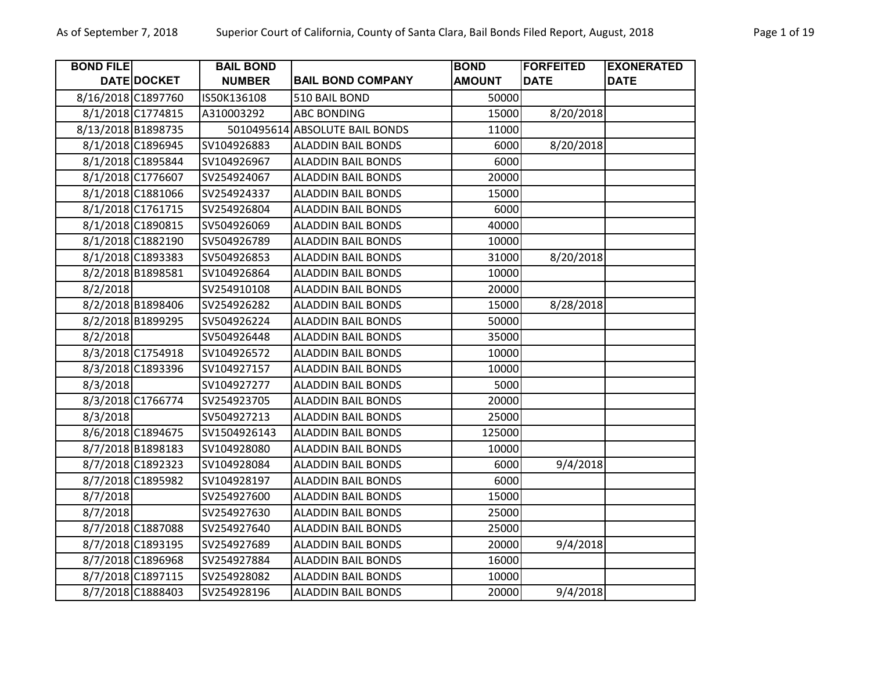| <b>BOND FILE</b>   |                   | <b>BAIL BOND</b> |                                | <b>BOND</b>   | <b>FORFEITED</b> | <b>EXONERATED</b> |
|--------------------|-------------------|------------------|--------------------------------|---------------|------------------|-------------------|
|                    | DATE DOCKET       | <b>NUMBER</b>    | <b>BAIL BOND COMPANY</b>       | <b>AMOUNT</b> | <b>DATE</b>      | <b>DATE</b>       |
| 8/16/2018 C1897760 |                   | IS50K136108      | 510 BAIL BOND                  | 50000         |                  |                   |
|                    | 8/1/2018 C1774815 | A310003292       | <b>ABC BONDING</b>             | 15000         | 8/20/2018        |                   |
| 8/13/2018 B1898735 |                   |                  | 5010495614 ABSOLUTE BAIL BONDS | 11000         |                  |                   |
|                    | 8/1/2018 C1896945 | SV104926883      | <b>ALADDIN BAIL BONDS</b>      | 6000          | 8/20/2018        |                   |
|                    | 8/1/2018 C1895844 | SV104926967      | <b>ALADDIN BAIL BONDS</b>      | 6000          |                  |                   |
|                    | 8/1/2018 C1776607 | SV254924067      | <b>ALADDIN BAIL BONDS</b>      | 20000         |                  |                   |
|                    | 8/1/2018 C1881066 | SV254924337      | <b>ALADDIN BAIL BONDS</b>      | 15000         |                  |                   |
|                    | 8/1/2018 C1761715 | SV254926804      | <b>ALADDIN BAIL BONDS</b>      | 6000          |                  |                   |
|                    | 8/1/2018 C1890815 | SV504926069      | <b>ALADDIN BAIL BONDS</b>      | 40000         |                  |                   |
|                    | 8/1/2018 C1882190 | SV504926789      | <b>ALADDIN BAIL BONDS</b>      | 10000         |                  |                   |
|                    | 8/1/2018 C1893383 | SV504926853      | <b>ALADDIN BAIL BONDS</b>      | 31000         | 8/20/2018        |                   |
|                    | 8/2/2018 B1898581 | SV104926864      | <b>ALADDIN BAIL BONDS</b>      | 10000         |                  |                   |
| 8/2/2018           |                   | SV254910108      | <b>ALADDIN BAIL BONDS</b>      | 20000         |                  |                   |
|                    | 8/2/2018 B1898406 | SV254926282      | <b>ALADDIN BAIL BONDS</b>      | 15000         | 8/28/2018        |                   |
|                    | 8/2/2018 B1899295 | SV504926224      | <b>ALADDIN BAIL BONDS</b>      | 50000         |                  |                   |
| 8/2/2018           |                   | SV504926448      | <b>ALADDIN BAIL BONDS</b>      | 35000         |                  |                   |
|                    | 8/3/2018 C1754918 | SV104926572      | <b>ALADDIN BAIL BONDS</b>      | 10000         |                  |                   |
|                    | 8/3/2018 C1893396 | SV104927157      | <b>ALADDIN BAIL BONDS</b>      | 10000         |                  |                   |
| 8/3/2018           |                   | SV104927277      | <b>ALADDIN BAIL BONDS</b>      | 5000          |                  |                   |
|                    | 8/3/2018 C1766774 | SV254923705      | <b>ALADDIN BAIL BONDS</b>      | 20000         |                  |                   |
| 8/3/2018           |                   | SV504927213      | <b>ALADDIN BAIL BONDS</b>      | 25000         |                  |                   |
|                    | 8/6/2018 C1894675 | SV1504926143     | <b>ALADDIN BAIL BONDS</b>      | 125000        |                  |                   |
|                    | 8/7/2018 B1898183 | SV104928080      | <b>ALADDIN BAIL BONDS</b>      | 10000         |                  |                   |
|                    | 8/7/2018 C1892323 | SV104928084      | <b>ALADDIN BAIL BONDS</b>      | 6000          | 9/4/2018         |                   |
|                    | 8/7/2018 C1895982 | SV104928197      | <b>ALADDIN BAIL BONDS</b>      | 6000          |                  |                   |
| 8/7/2018           |                   | SV254927600      | <b>ALADDIN BAIL BONDS</b>      | 15000         |                  |                   |
| 8/7/2018           |                   | SV254927630      | <b>ALADDIN BAIL BONDS</b>      | 25000         |                  |                   |
|                    | 8/7/2018 C1887088 | SV254927640      | <b>ALADDIN BAIL BONDS</b>      | 25000         |                  |                   |
|                    | 8/7/2018 C1893195 | SV254927689      | <b>ALADDIN BAIL BONDS</b>      | 20000         | 9/4/2018         |                   |
|                    | 8/7/2018 C1896968 | SV254927884      | <b>ALADDIN BAIL BONDS</b>      | 16000         |                  |                   |
|                    | 8/7/2018 C1897115 | SV254928082      | <b>ALADDIN BAIL BONDS</b>      | 10000         |                  |                   |
|                    | 8/7/2018 C1888403 | SV254928196      | <b>ALADDIN BAIL BONDS</b>      | 20000         | 9/4/2018         |                   |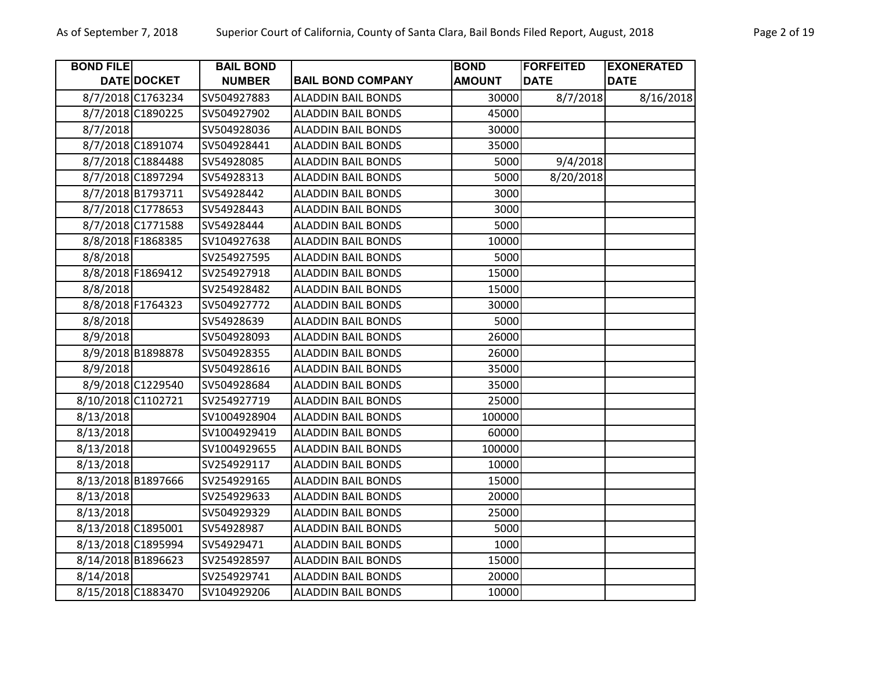| Page 2 of 19 |  |  |
|--------------|--|--|
|              |  |  |

| <b>BOND FILE</b>   |                    | <b>BAIL BOND</b> |                           | <b>BOND</b>   | <b>FORFEITED</b> | <b>EXONERATED</b> |
|--------------------|--------------------|------------------|---------------------------|---------------|------------------|-------------------|
|                    | <b>DATE DOCKET</b> | <b>NUMBER</b>    | <b>BAIL BOND COMPANY</b>  | <b>AMOUNT</b> | <b>DATE</b>      | <b>DATE</b>       |
|                    | 8/7/2018 C1763234  | SV504927883      | <b>ALADDIN BAIL BONDS</b> | 30000         | 8/7/2018         | 8/16/2018         |
|                    | 8/7/2018 C1890225  | SV504927902      | <b>ALADDIN BAIL BONDS</b> | 45000         |                  |                   |
| 8/7/2018           |                    | SV504928036      | <b>ALADDIN BAIL BONDS</b> | 30000         |                  |                   |
|                    | 8/7/2018 C1891074  | SV504928441      | <b>ALADDIN BAIL BONDS</b> | 35000         |                  |                   |
|                    | 8/7/2018 C1884488  | SV54928085       | <b>ALADDIN BAIL BONDS</b> | 5000          | 9/4/2018         |                   |
|                    | 8/7/2018 C1897294  | SV54928313       | <b>ALADDIN BAIL BONDS</b> | 5000          | 8/20/2018        |                   |
|                    | 8/7/2018 B1793711  | SV54928442       | <b>ALADDIN BAIL BONDS</b> | 3000          |                  |                   |
|                    | 8/7/2018 C1778653  | SV54928443       | <b>ALADDIN BAIL BONDS</b> | 3000          |                  |                   |
|                    | 8/7/2018 C1771588  | SV54928444       | <b>ALADDIN BAIL BONDS</b> | 5000          |                  |                   |
|                    | 8/8/2018 F1868385  | SV104927638      | <b>ALADDIN BAIL BONDS</b> | 10000         |                  |                   |
| 8/8/2018           |                    | SV254927595      | <b>ALADDIN BAIL BONDS</b> | 5000          |                  |                   |
|                    | 8/8/2018 F1869412  | SV254927918      | <b>ALADDIN BAIL BONDS</b> | 15000         |                  |                   |
| 8/8/2018           |                    | SV254928482      | <b>ALADDIN BAIL BONDS</b> | 15000         |                  |                   |
|                    | 8/8/2018 F1764323  | SV504927772      | <b>ALADDIN BAIL BONDS</b> | 30000         |                  |                   |
| 8/8/2018           |                    | SV54928639       | <b>ALADDIN BAIL BONDS</b> | 5000          |                  |                   |
| 8/9/2018           |                    | SV504928093      | <b>ALADDIN BAIL BONDS</b> | 26000         |                  |                   |
|                    | 8/9/2018 B1898878  | SV504928355      | <b>ALADDIN BAIL BONDS</b> | 26000         |                  |                   |
| 8/9/2018           |                    | SV504928616      | <b>ALADDIN BAIL BONDS</b> | 35000         |                  |                   |
|                    | 8/9/2018 C1229540  | SV504928684      | <b>ALADDIN BAIL BONDS</b> | 35000         |                  |                   |
| 8/10/2018 C1102721 |                    | SV254927719      | <b>ALADDIN BAIL BONDS</b> | 25000         |                  |                   |
| 8/13/2018          |                    | SV1004928904     | <b>ALADDIN BAIL BONDS</b> | 100000        |                  |                   |
| 8/13/2018          |                    | SV1004929419     | <b>ALADDIN BAIL BONDS</b> | 60000         |                  |                   |
| 8/13/2018          |                    | SV1004929655     | <b>ALADDIN BAIL BONDS</b> | 100000        |                  |                   |
| 8/13/2018          |                    | SV254929117      | <b>ALADDIN BAIL BONDS</b> | 10000         |                  |                   |
| 8/13/2018 B1897666 |                    | SV254929165      | <b>ALADDIN BAIL BONDS</b> | 15000         |                  |                   |
| 8/13/2018          |                    | SV254929633      | <b>ALADDIN BAIL BONDS</b> | 20000         |                  |                   |
| 8/13/2018          |                    | SV504929329      | <b>ALADDIN BAIL BONDS</b> | 25000         |                  |                   |
| 8/13/2018 C1895001 |                    | SV54928987       | <b>ALADDIN BAIL BONDS</b> | 5000          |                  |                   |
| 8/13/2018 C1895994 |                    | SV54929471       | <b>ALADDIN BAIL BONDS</b> | 1000          |                  |                   |
| 8/14/2018 B1896623 |                    | SV254928597      | <b>ALADDIN BAIL BONDS</b> | 15000         |                  |                   |
| 8/14/2018          |                    | SV254929741      | <b>ALADDIN BAIL BONDS</b> | 20000         |                  |                   |
| 8/15/2018 C1883470 |                    | SV104929206      | <b>ALADDIN BAIL BONDS</b> | 10000         |                  |                   |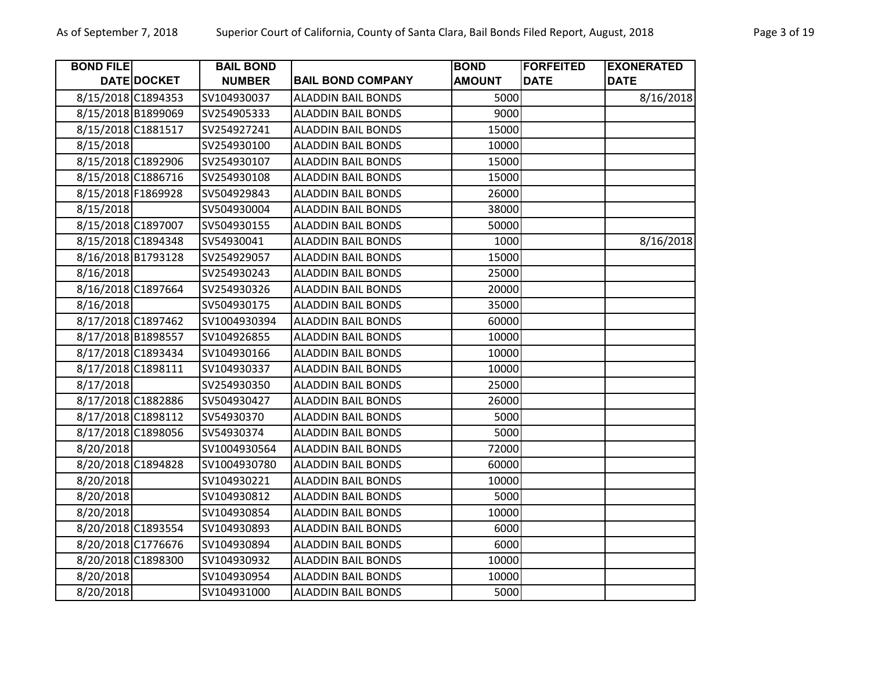| <b>BOND FILE</b>   |             | <b>BAIL BOND</b> |                           | <b>BOND</b>   | <b>FORFEITED</b> | <b>EXONERATED</b> |
|--------------------|-------------|------------------|---------------------------|---------------|------------------|-------------------|
|                    | DATE DOCKET | <b>NUMBER</b>    | <b>BAIL BOND COMPANY</b>  | <b>AMOUNT</b> | <b>DATE</b>      | <b>DATE</b>       |
| 8/15/2018 C1894353 |             | SV104930037      | <b>ALADDIN BAIL BONDS</b> | 5000          |                  | 8/16/2018         |
| 8/15/2018 B1899069 |             | SV254905333      | <b>ALADDIN BAIL BONDS</b> | 9000          |                  |                   |
| 8/15/2018 C1881517 |             | SV254927241      | <b>ALADDIN BAIL BONDS</b> | 15000         |                  |                   |
| 8/15/2018          |             | SV254930100      | <b>ALADDIN BAIL BONDS</b> | 10000         |                  |                   |
| 8/15/2018 C1892906 |             | SV254930107      | <b>ALADDIN BAIL BONDS</b> | 15000         |                  |                   |
| 8/15/2018 C1886716 |             | SV254930108      | <b>ALADDIN BAIL BONDS</b> | 15000         |                  |                   |
| 8/15/2018 F1869928 |             | SV504929843      | <b>ALADDIN BAIL BONDS</b> | 26000         |                  |                   |
| 8/15/2018          |             | SV504930004      | <b>ALADDIN BAIL BONDS</b> | 38000         |                  |                   |
| 8/15/2018 C1897007 |             | SV504930155      | <b>ALADDIN BAIL BONDS</b> | 50000         |                  |                   |
| 8/15/2018 C1894348 |             | SV54930041       | <b>ALADDIN BAIL BONDS</b> | 1000          |                  | 8/16/2018         |
| 8/16/2018 B1793128 |             | SV254929057      | <b>ALADDIN BAIL BONDS</b> | 15000         |                  |                   |
| 8/16/2018          |             | SV254930243      | <b>ALADDIN BAIL BONDS</b> | 25000         |                  |                   |
| 8/16/2018 C1897664 |             | SV254930326      | <b>ALADDIN BAIL BONDS</b> | 20000         |                  |                   |
| 8/16/2018          |             | SV504930175      | <b>ALADDIN BAIL BONDS</b> | 35000         |                  |                   |
| 8/17/2018 C1897462 |             | SV1004930394     | <b>ALADDIN BAIL BONDS</b> | 60000         |                  |                   |
| 8/17/2018 B1898557 |             | SV104926855      | <b>ALADDIN BAIL BONDS</b> | 10000         |                  |                   |
| 8/17/2018 C1893434 |             | SV104930166      | <b>ALADDIN BAIL BONDS</b> | 10000         |                  |                   |
| 8/17/2018 C1898111 |             | SV104930337      | <b>ALADDIN BAIL BONDS</b> | 10000         |                  |                   |
| 8/17/2018          |             | SV254930350      | <b>ALADDIN BAIL BONDS</b> | 25000         |                  |                   |
| 8/17/2018 C1882886 |             | SV504930427      | <b>ALADDIN BAIL BONDS</b> | 26000         |                  |                   |
| 8/17/2018 C1898112 |             | SV54930370       | <b>ALADDIN BAIL BONDS</b> | 5000          |                  |                   |
| 8/17/2018 C1898056 |             | SV54930374       | <b>ALADDIN BAIL BONDS</b> | 5000          |                  |                   |
| 8/20/2018          |             | SV1004930564     | <b>ALADDIN BAIL BONDS</b> | 72000         |                  |                   |
| 8/20/2018 C1894828 |             | SV1004930780     | <b>ALADDIN BAIL BONDS</b> | 60000         |                  |                   |
| 8/20/2018          |             | SV104930221      | <b>ALADDIN BAIL BONDS</b> | 10000         |                  |                   |
| 8/20/2018          |             | SV104930812      | <b>ALADDIN BAIL BONDS</b> | 5000          |                  |                   |
| 8/20/2018          |             | SV104930854      | <b>ALADDIN BAIL BONDS</b> | 10000         |                  |                   |
| 8/20/2018 C1893554 |             | SV104930893      | <b>ALADDIN BAIL BONDS</b> | 6000          |                  |                   |
| 8/20/2018 C1776676 |             | SV104930894      | <b>ALADDIN BAIL BONDS</b> | 6000          |                  |                   |
| 8/20/2018 C1898300 |             | SV104930932      | <b>ALADDIN BAIL BONDS</b> | 10000         |                  |                   |
| 8/20/2018          |             | SV104930954      | <b>ALADDIN BAIL BONDS</b> | 10000         |                  |                   |
| 8/20/2018          |             | SV104931000      | <b>ALADDIN BAIL BONDS</b> | 5000          |                  |                   |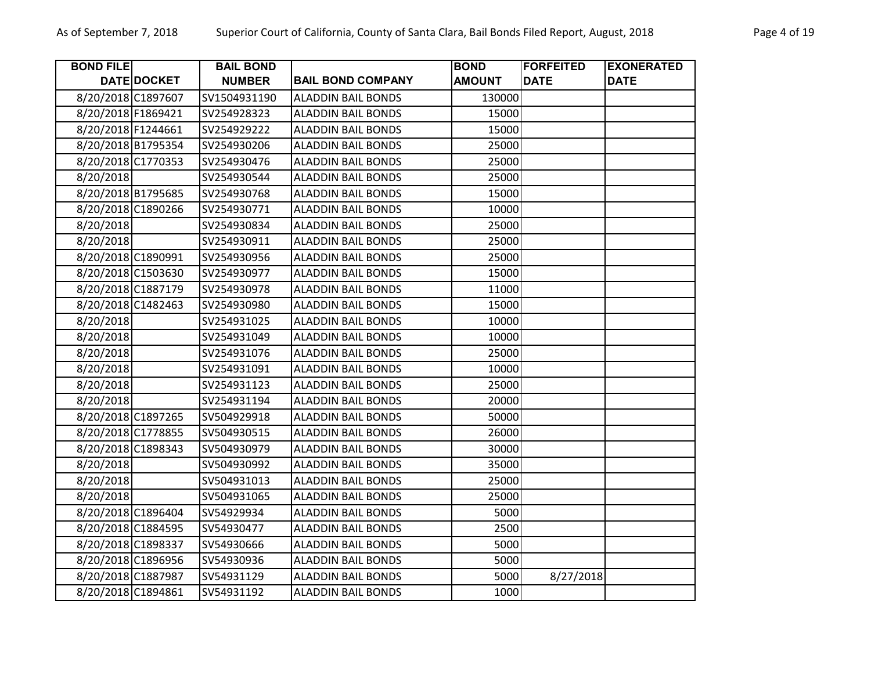| <b>BOND FILE</b>   |                    | <b>BAIL BOND</b> |                           | <b>BOND</b>   | <b>FORFEITED</b> | <b>EXONERATED</b> |
|--------------------|--------------------|------------------|---------------------------|---------------|------------------|-------------------|
|                    | <b>DATE DOCKET</b> | <b>NUMBER</b>    | <b>BAIL BOND COMPANY</b>  | <b>AMOUNT</b> | <b>DATE</b>      | <b>DATE</b>       |
| 8/20/2018 C1897607 |                    | SV1504931190     | <b>ALADDIN BAIL BONDS</b> | 130000        |                  |                   |
| 8/20/2018 F1869421 |                    | SV254928323      | <b>ALADDIN BAIL BONDS</b> | 15000         |                  |                   |
| 8/20/2018 F1244661 |                    | SV254929222      | <b>ALADDIN BAIL BONDS</b> | 15000         |                  |                   |
| 8/20/2018 B1795354 |                    | SV254930206      | <b>ALADDIN BAIL BONDS</b> | 25000         |                  |                   |
| 8/20/2018 C1770353 |                    | SV254930476      | <b>ALADDIN BAIL BONDS</b> | 25000         |                  |                   |
| 8/20/2018          |                    | SV254930544      | <b>ALADDIN BAIL BONDS</b> | 25000         |                  |                   |
| 8/20/2018 B1795685 |                    | SV254930768      | <b>ALADDIN BAIL BONDS</b> | 15000         |                  |                   |
| 8/20/2018 C1890266 |                    | SV254930771      | <b>ALADDIN BAIL BONDS</b> | 10000         |                  |                   |
| 8/20/2018          |                    | SV254930834      | <b>ALADDIN BAIL BONDS</b> | 25000         |                  |                   |
| 8/20/2018          |                    | SV254930911      | <b>ALADDIN BAIL BONDS</b> | 25000         |                  |                   |
| 8/20/2018 C1890991 |                    | SV254930956      | <b>ALADDIN BAIL BONDS</b> | 25000         |                  |                   |
| 8/20/2018 C1503630 |                    | SV254930977      | <b>ALADDIN BAIL BONDS</b> | 15000         |                  |                   |
| 8/20/2018 C1887179 |                    | SV254930978      | <b>ALADDIN BAIL BONDS</b> | 11000         |                  |                   |
| 8/20/2018 C1482463 |                    | SV254930980      | <b>ALADDIN BAIL BONDS</b> | 15000         |                  |                   |
| 8/20/2018          |                    | SV254931025      | <b>ALADDIN BAIL BONDS</b> | 10000         |                  |                   |
| 8/20/2018          |                    | SV254931049      | <b>ALADDIN BAIL BONDS</b> | 10000         |                  |                   |
| 8/20/2018          |                    | SV254931076      | <b>ALADDIN BAIL BONDS</b> | 25000         |                  |                   |
| 8/20/2018          |                    | SV254931091      | <b>ALADDIN BAIL BONDS</b> | 10000         |                  |                   |
| 8/20/2018          |                    | SV254931123      | <b>ALADDIN BAIL BONDS</b> | 25000         |                  |                   |
| 8/20/2018          |                    | SV254931194      | <b>ALADDIN BAIL BONDS</b> | 20000         |                  |                   |
| 8/20/2018 C1897265 |                    | SV504929918      | <b>ALADDIN BAIL BONDS</b> | 50000         |                  |                   |
| 8/20/2018 C1778855 |                    | SV504930515      | <b>ALADDIN BAIL BONDS</b> | 26000         |                  |                   |
| 8/20/2018 C1898343 |                    | SV504930979      | <b>ALADDIN BAIL BONDS</b> | 30000         |                  |                   |
| 8/20/2018          |                    | SV504930992      | <b>ALADDIN BAIL BONDS</b> | 35000         |                  |                   |
| 8/20/2018          |                    | SV504931013      | <b>ALADDIN BAIL BONDS</b> | 25000         |                  |                   |
| 8/20/2018          |                    | SV504931065      | <b>ALADDIN BAIL BONDS</b> | 25000         |                  |                   |
| 8/20/2018 C1896404 |                    | SV54929934       | <b>ALADDIN BAIL BONDS</b> | 5000          |                  |                   |
| 8/20/2018 C1884595 |                    | SV54930477       | <b>ALADDIN BAIL BONDS</b> | 2500          |                  |                   |
| 8/20/2018 C1898337 |                    | SV54930666       | <b>ALADDIN BAIL BONDS</b> | 5000          |                  |                   |
| 8/20/2018 C1896956 |                    | SV54930936       | <b>ALADDIN BAIL BONDS</b> | 5000          |                  |                   |
| 8/20/2018 C1887987 |                    | SV54931129       | <b>ALADDIN BAIL BONDS</b> | 5000          | 8/27/2018        |                   |
| 8/20/2018 C1894861 |                    | SV54931192       | <b>ALADDIN BAIL BONDS</b> | 1000          |                  |                   |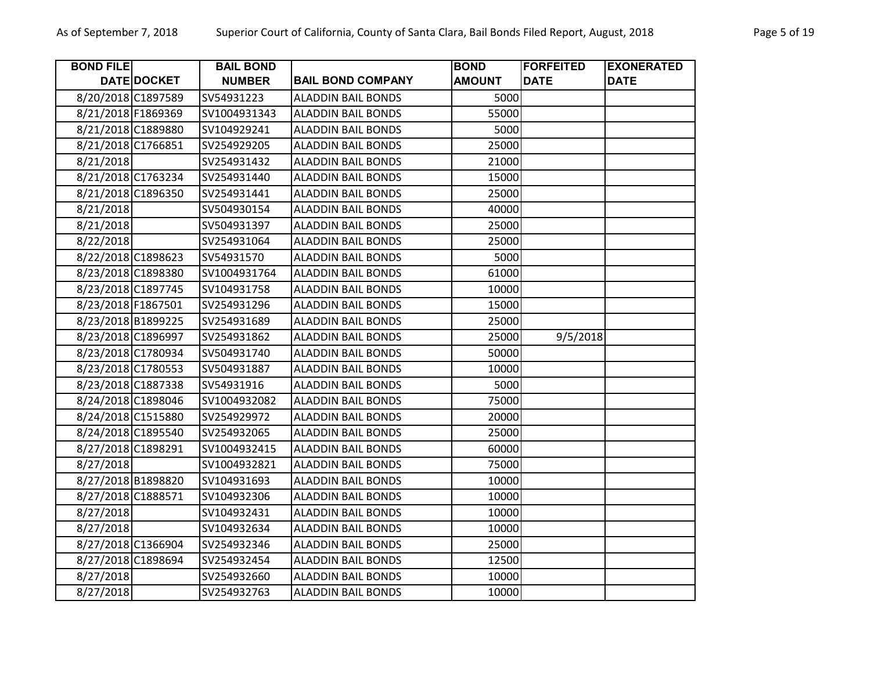| <b>BOND FILE</b>   |                    | <b>BAIL BOND</b> |                           | <b>BOND</b>   | <b>FORFEITED</b> | <b>EXONERATED</b> |
|--------------------|--------------------|------------------|---------------------------|---------------|------------------|-------------------|
|                    | <b>DATE DOCKET</b> | <b>NUMBER</b>    | <b>BAIL BOND COMPANY</b>  | <b>AMOUNT</b> | <b>DATE</b>      | <b>DATE</b>       |
| 8/20/2018 C1897589 |                    | SV54931223       | <b>ALADDIN BAIL BONDS</b> | 5000          |                  |                   |
| 8/21/2018 F1869369 |                    | SV1004931343     | <b>ALADDIN BAIL BONDS</b> | 55000         |                  |                   |
| 8/21/2018 C1889880 |                    | SV104929241      | <b>ALADDIN BAIL BONDS</b> | 5000          |                  |                   |
| 8/21/2018 C1766851 |                    | SV254929205      | <b>ALADDIN BAIL BONDS</b> | 25000         |                  |                   |
| 8/21/2018          |                    | SV254931432      | <b>ALADDIN BAIL BONDS</b> | 21000         |                  |                   |
| 8/21/2018 C1763234 |                    | SV254931440      | <b>ALADDIN BAIL BONDS</b> | 15000         |                  |                   |
| 8/21/2018 C1896350 |                    | SV254931441      | <b>ALADDIN BAIL BONDS</b> | 25000         |                  |                   |
| 8/21/2018          |                    | SV504930154      | <b>ALADDIN BAIL BONDS</b> | 40000         |                  |                   |
| 8/21/2018          |                    | SV504931397      | <b>ALADDIN BAIL BONDS</b> | 25000         |                  |                   |
| 8/22/2018          |                    | SV254931064      | <b>ALADDIN BAIL BONDS</b> | 25000         |                  |                   |
| 8/22/2018 C1898623 |                    | SV54931570       | <b>ALADDIN BAIL BONDS</b> | 5000          |                  |                   |
| 8/23/2018 C1898380 |                    | SV1004931764     | <b>ALADDIN BAIL BONDS</b> | 61000         |                  |                   |
| 8/23/2018 C1897745 |                    | SV104931758      | <b>ALADDIN BAIL BONDS</b> | 10000         |                  |                   |
| 8/23/2018 F1867501 |                    | SV254931296      | <b>ALADDIN BAIL BONDS</b> | 15000         |                  |                   |
| 8/23/2018 B1899225 |                    | SV254931689      | <b>ALADDIN BAIL BONDS</b> | 25000         |                  |                   |
| 8/23/2018 C1896997 |                    | SV254931862      | <b>ALADDIN BAIL BONDS</b> | 25000         | 9/5/2018         |                   |
| 8/23/2018 C1780934 |                    | SV504931740      | <b>ALADDIN BAIL BONDS</b> | 50000         |                  |                   |
| 8/23/2018 C1780553 |                    | SV504931887      | <b>ALADDIN BAIL BONDS</b> | 10000         |                  |                   |
| 8/23/2018 C1887338 |                    | SV54931916       | <b>ALADDIN BAIL BONDS</b> | 5000          |                  |                   |
| 8/24/2018 C1898046 |                    | SV1004932082     | <b>ALADDIN BAIL BONDS</b> | 75000         |                  |                   |
| 8/24/2018 C1515880 |                    | SV254929972      | <b>ALADDIN BAIL BONDS</b> | 20000         |                  |                   |
| 8/24/2018 C1895540 |                    | SV254932065      | <b>ALADDIN BAIL BONDS</b> | 25000         |                  |                   |
| 8/27/2018 C1898291 |                    | SV1004932415     | <b>ALADDIN BAIL BONDS</b> | 60000         |                  |                   |
| 8/27/2018          |                    | SV1004932821     | <b>ALADDIN BAIL BONDS</b> | 75000         |                  |                   |
| 8/27/2018 B1898820 |                    | SV104931693      | <b>ALADDIN BAIL BONDS</b> | 10000         |                  |                   |
| 8/27/2018 C1888571 |                    | SV104932306      | <b>ALADDIN BAIL BONDS</b> | 10000         |                  |                   |
| 8/27/2018          |                    | SV104932431      | <b>ALADDIN BAIL BONDS</b> | 10000         |                  |                   |
| 8/27/2018          |                    | SV104932634      | <b>ALADDIN BAIL BONDS</b> | 10000         |                  |                   |
| 8/27/2018 C1366904 |                    | SV254932346      | <b>ALADDIN BAIL BONDS</b> | 25000         |                  |                   |
| 8/27/2018 C1898694 |                    | SV254932454      | <b>ALADDIN BAIL BONDS</b> | 12500         |                  |                   |
| 8/27/2018          |                    | SV254932660      | <b>ALADDIN BAIL BONDS</b> | 10000         |                  |                   |
| 8/27/2018          |                    | SV254932763      | <b>ALADDIN BAIL BONDS</b> | 10000         |                  |                   |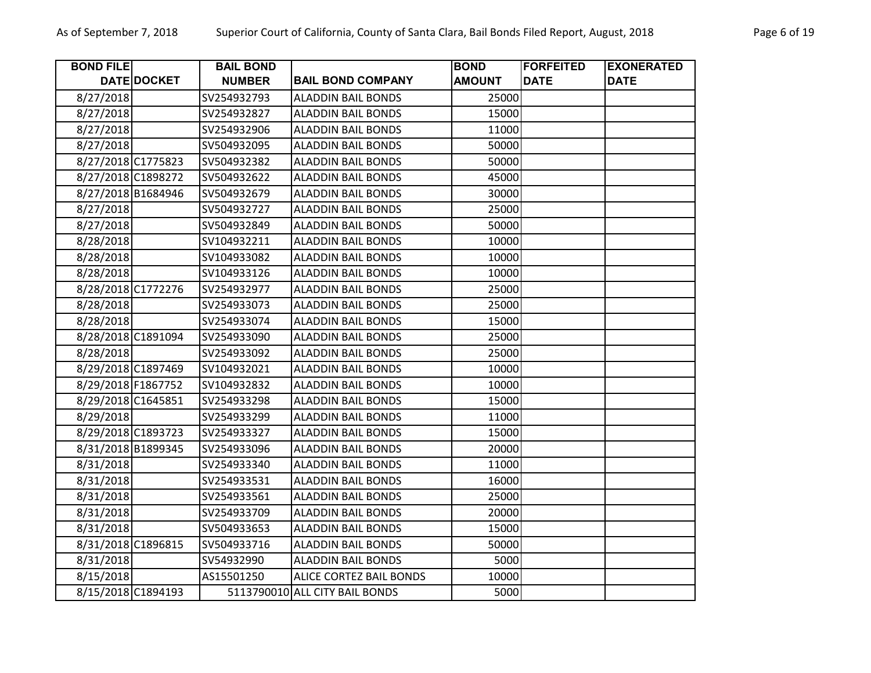| <b>BOND FILE</b>   |             | <b>BAIL BOND</b> |                                | <b>BOND</b>   | <b>FORFEITED</b> | <b>EXONERATED</b> |
|--------------------|-------------|------------------|--------------------------------|---------------|------------------|-------------------|
|                    | DATE DOCKET | <b>NUMBER</b>    | <b>BAIL BOND COMPANY</b>       | <b>AMOUNT</b> | <b>DATE</b>      | <b>DATE</b>       |
| 8/27/2018          |             | SV254932793      | <b>ALADDIN BAIL BONDS</b>      | 25000         |                  |                   |
| 8/27/2018          |             | SV254932827      | <b>ALADDIN BAIL BONDS</b>      | 15000         |                  |                   |
| 8/27/2018          |             | SV254932906      | <b>ALADDIN BAIL BONDS</b>      | 11000         |                  |                   |
| 8/27/2018          |             | SV504932095      | <b>ALADDIN BAIL BONDS</b>      | 50000         |                  |                   |
| 8/27/2018 C1775823 |             | SV504932382      | <b>ALADDIN BAIL BONDS</b>      | 50000         |                  |                   |
| 8/27/2018 C1898272 |             | SV504932622      | <b>ALADDIN BAIL BONDS</b>      | 45000         |                  |                   |
| 8/27/2018 B1684946 |             | SV504932679      | <b>ALADDIN BAIL BONDS</b>      | 30000         |                  |                   |
| 8/27/2018          |             | SV504932727      | <b>ALADDIN BAIL BONDS</b>      | 25000         |                  |                   |
| 8/27/2018          |             | SV504932849      | <b>ALADDIN BAIL BONDS</b>      | 50000         |                  |                   |
| 8/28/2018          |             | SV104932211      | <b>ALADDIN BAIL BONDS</b>      | 10000         |                  |                   |
| 8/28/2018          |             | SV104933082      | <b>ALADDIN BAIL BONDS</b>      | 10000         |                  |                   |
| 8/28/2018          |             | SV104933126      | <b>ALADDIN BAIL BONDS</b>      | 10000         |                  |                   |
| 8/28/2018 C1772276 |             | SV254932977      | <b>ALADDIN BAIL BONDS</b>      | 25000         |                  |                   |
| 8/28/2018          |             | SV254933073      | <b>ALADDIN BAIL BONDS</b>      | 25000         |                  |                   |
| 8/28/2018          |             | SV254933074      | <b>ALADDIN BAIL BONDS</b>      | 15000         |                  |                   |
| 8/28/2018 C1891094 |             | SV254933090      | <b>ALADDIN BAIL BONDS</b>      | 25000         |                  |                   |
| 8/28/2018          |             | SV254933092      | <b>ALADDIN BAIL BONDS</b>      | 25000         |                  |                   |
| 8/29/2018 C1897469 |             | SV104932021      | <b>ALADDIN BAIL BONDS</b>      | 10000         |                  |                   |
| 8/29/2018 F1867752 |             | SV104932832      | <b>ALADDIN BAIL BONDS</b>      | 10000         |                  |                   |
| 8/29/2018 C1645851 |             | SV254933298      | <b>ALADDIN BAIL BONDS</b>      | 15000         |                  |                   |
| 8/29/2018          |             | SV254933299      | <b>ALADDIN BAIL BONDS</b>      | 11000         |                  |                   |
| 8/29/2018 C1893723 |             | SV254933327      | <b>ALADDIN BAIL BONDS</b>      | 15000         |                  |                   |
| 8/31/2018 B1899345 |             | SV254933096      | <b>ALADDIN BAIL BONDS</b>      | 20000         |                  |                   |
| 8/31/2018          |             | SV254933340      | <b>ALADDIN BAIL BONDS</b>      | 11000         |                  |                   |
| 8/31/2018          |             | SV254933531      | <b>ALADDIN BAIL BONDS</b>      | 16000         |                  |                   |
| 8/31/2018          |             | SV254933561      | <b>ALADDIN BAIL BONDS</b>      | 25000         |                  |                   |
| 8/31/2018          |             | SV254933709      | <b>ALADDIN BAIL BONDS</b>      | 20000         |                  |                   |
| 8/31/2018          |             | SV504933653      | <b>ALADDIN BAIL BONDS</b>      | 15000         |                  |                   |
| 8/31/2018 C1896815 |             | SV504933716      | <b>ALADDIN BAIL BONDS</b>      | 50000         |                  |                   |
| 8/31/2018          |             | SV54932990       | <b>ALADDIN BAIL BONDS</b>      | 5000          |                  |                   |
| 8/15/2018          |             | AS15501250       | <b>ALICE CORTEZ BAIL BONDS</b> | 10000         |                  |                   |
| 8/15/2018 C1894193 |             |                  | 5113790010 ALL CITY BAIL BONDS | 5000          |                  |                   |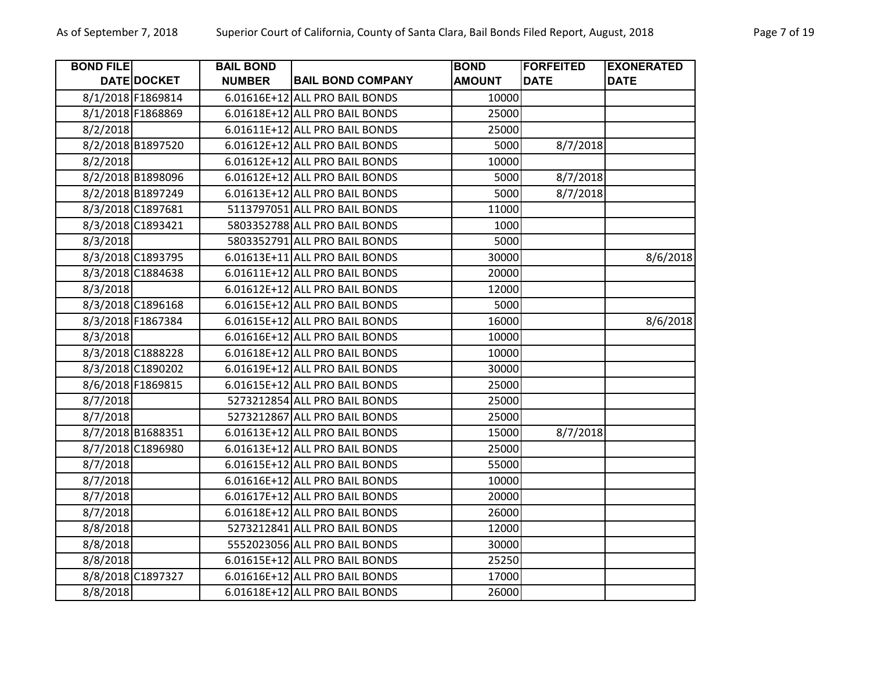| DATE DOCKET<br>8/1/2018 F1869814<br>6.01616E+12 ALL PRO BAIL BONDS<br>10000<br>8/1/2018 F1868869<br>6.01618E+12 ALL PRO BAIL BONDS<br>25000<br>6.01611E+12 ALL PRO BAIL BONDS<br>8/2/2018<br>25000<br>6.01612E+12 ALL PRO BAIL BONDS<br>8/2/2018 B1897520<br>5000<br>8/7/2018<br>8/2/2018<br>6.01612E+12 ALL PRO BAIL BONDS<br>10000<br>8/2/2018 B1898096<br>6.01612E+12 ALL PRO BAIL BONDS<br>8/7/2018<br>5000<br>8/2/2018 B1897249<br>6.01613E+12 ALL PRO BAIL BONDS<br>5000<br>8/7/2018<br>8/3/2018 C1897681<br>5113797051 ALL PRO BAIL BONDS<br>11000<br>5803352788 ALL PRO BAIL BONDS<br>8/3/2018 C1893421<br>1000<br>8/3/2018<br>5803352791 ALL PRO BAIL BONDS<br>5000<br>8/3/2018 C1893795<br>6.01613E+11 ALL PRO BAIL BONDS<br>30000<br>8/6/2018<br>8/3/2018 C1884638<br>6.01611E+12 ALL PRO BAIL BONDS<br>20000<br>6.01612E+12 ALL PRO BAIL BONDS<br>8/3/2018<br>12000<br>8/3/2018 C1896168<br>6.01615E+12 ALL PRO BAIL BONDS<br>5000<br>8/3/2018 F1867384<br>6.01615E+12 ALL PRO BAIL BONDS<br>16000<br>8/6/2018<br>8/3/2018<br>6.01616E+12 ALL PRO BAIL BONDS<br>10000<br>8/3/2018 C1888228<br>6.01618E+12 ALL PRO BAIL BONDS | <b>BOND FILE</b> | <b>BAIL BOND</b><br><b>NUMBER</b> | <b>BAIL BOND COMPANY</b> | <b>BOND</b><br><b>AMOUNT</b> | <b>FORFEITED</b><br><b>DATE</b> | <b>EXONERATED</b><br><b>DATE</b> |
|------------------------------------------------------------------------------------------------------------------------------------------------------------------------------------------------------------------------------------------------------------------------------------------------------------------------------------------------------------------------------------------------------------------------------------------------------------------------------------------------------------------------------------------------------------------------------------------------------------------------------------------------------------------------------------------------------------------------------------------------------------------------------------------------------------------------------------------------------------------------------------------------------------------------------------------------------------------------------------------------------------------------------------------------------------------------------------------------------------------------------------------|------------------|-----------------------------------|--------------------------|------------------------------|---------------------------------|----------------------------------|
|                                                                                                                                                                                                                                                                                                                                                                                                                                                                                                                                                                                                                                                                                                                                                                                                                                                                                                                                                                                                                                                                                                                                          |                  |                                   |                          |                              |                                 |                                  |
|                                                                                                                                                                                                                                                                                                                                                                                                                                                                                                                                                                                                                                                                                                                                                                                                                                                                                                                                                                                                                                                                                                                                          |                  |                                   |                          |                              |                                 |                                  |
|                                                                                                                                                                                                                                                                                                                                                                                                                                                                                                                                                                                                                                                                                                                                                                                                                                                                                                                                                                                                                                                                                                                                          |                  |                                   |                          |                              |                                 |                                  |
|                                                                                                                                                                                                                                                                                                                                                                                                                                                                                                                                                                                                                                                                                                                                                                                                                                                                                                                                                                                                                                                                                                                                          |                  |                                   |                          |                              |                                 |                                  |
|                                                                                                                                                                                                                                                                                                                                                                                                                                                                                                                                                                                                                                                                                                                                                                                                                                                                                                                                                                                                                                                                                                                                          |                  |                                   |                          |                              |                                 |                                  |
|                                                                                                                                                                                                                                                                                                                                                                                                                                                                                                                                                                                                                                                                                                                                                                                                                                                                                                                                                                                                                                                                                                                                          |                  |                                   |                          |                              |                                 |                                  |
|                                                                                                                                                                                                                                                                                                                                                                                                                                                                                                                                                                                                                                                                                                                                                                                                                                                                                                                                                                                                                                                                                                                                          |                  |                                   |                          |                              |                                 |                                  |
|                                                                                                                                                                                                                                                                                                                                                                                                                                                                                                                                                                                                                                                                                                                                                                                                                                                                                                                                                                                                                                                                                                                                          |                  |                                   |                          |                              |                                 |                                  |
|                                                                                                                                                                                                                                                                                                                                                                                                                                                                                                                                                                                                                                                                                                                                                                                                                                                                                                                                                                                                                                                                                                                                          |                  |                                   |                          |                              |                                 |                                  |
|                                                                                                                                                                                                                                                                                                                                                                                                                                                                                                                                                                                                                                                                                                                                                                                                                                                                                                                                                                                                                                                                                                                                          |                  |                                   |                          |                              |                                 |                                  |
|                                                                                                                                                                                                                                                                                                                                                                                                                                                                                                                                                                                                                                                                                                                                                                                                                                                                                                                                                                                                                                                                                                                                          |                  |                                   |                          |                              |                                 |                                  |
|                                                                                                                                                                                                                                                                                                                                                                                                                                                                                                                                                                                                                                                                                                                                                                                                                                                                                                                                                                                                                                                                                                                                          |                  |                                   |                          |                              |                                 |                                  |
|                                                                                                                                                                                                                                                                                                                                                                                                                                                                                                                                                                                                                                                                                                                                                                                                                                                                                                                                                                                                                                                                                                                                          |                  |                                   |                          |                              |                                 |                                  |
|                                                                                                                                                                                                                                                                                                                                                                                                                                                                                                                                                                                                                                                                                                                                                                                                                                                                                                                                                                                                                                                                                                                                          |                  |                                   |                          |                              |                                 |                                  |
|                                                                                                                                                                                                                                                                                                                                                                                                                                                                                                                                                                                                                                                                                                                                                                                                                                                                                                                                                                                                                                                                                                                                          |                  |                                   |                          |                              |                                 |                                  |
|                                                                                                                                                                                                                                                                                                                                                                                                                                                                                                                                                                                                                                                                                                                                                                                                                                                                                                                                                                                                                                                                                                                                          |                  |                                   |                          |                              |                                 |                                  |
|                                                                                                                                                                                                                                                                                                                                                                                                                                                                                                                                                                                                                                                                                                                                                                                                                                                                                                                                                                                                                                                                                                                                          |                  |                                   |                          |                              |                                 |                                  |
|                                                                                                                                                                                                                                                                                                                                                                                                                                                                                                                                                                                                                                                                                                                                                                                                                                                                                                                                                                                                                                                                                                                                          |                  |                                   |                          | 10000                        |                                 |                                  |
| 6.01619E+12 ALL PRO BAIL BONDS<br>8/3/2018 C1890202<br>30000                                                                                                                                                                                                                                                                                                                                                                                                                                                                                                                                                                                                                                                                                                                                                                                                                                                                                                                                                                                                                                                                             |                  |                                   |                          |                              |                                 |                                  |
| 8/6/2018 F1869815<br>6.01615E+12 ALL PRO BAIL BONDS<br>25000                                                                                                                                                                                                                                                                                                                                                                                                                                                                                                                                                                                                                                                                                                                                                                                                                                                                                                                                                                                                                                                                             |                  |                                   |                          |                              |                                 |                                  |
| 8/7/2018<br>5273212854 ALL PRO BAIL BONDS<br>25000                                                                                                                                                                                                                                                                                                                                                                                                                                                                                                                                                                                                                                                                                                                                                                                                                                                                                                                                                                                                                                                                                       |                  |                                   |                          |                              |                                 |                                  |
| 8/7/2018<br>5273212867 ALL PRO BAIL BONDS<br>25000                                                                                                                                                                                                                                                                                                                                                                                                                                                                                                                                                                                                                                                                                                                                                                                                                                                                                                                                                                                                                                                                                       |                  |                                   |                          |                              |                                 |                                  |
| 8/7/2018 B1688351<br>6.01613E+12 ALL PRO BAIL BONDS<br>15000<br>8/7/2018                                                                                                                                                                                                                                                                                                                                                                                                                                                                                                                                                                                                                                                                                                                                                                                                                                                                                                                                                                                                                                                                 |                  |                                   |                          |                              |                                 |                                  |
| 8/7/2018 C1896980<br>6.01613E+12 ALL PRO BAIL BONDS<br>25000                                                                                                                                                                                                                                                                                                                                                                                                                                                                                                                                                                                                                                                                                                                                                                                                                                                                                                                                                                                                                                                                             |                  |                                   |                          |                              |                                 |                                  |
| 8/7/2018<br>6.01615E+12 ALL PRO BAIL BONDS<br>55000                                                                                                                                                                                                                                                                                                                                                                                                                                                                                                                                                                                                                                                                                                                                                                                                                                                                                                                                                                                                                                                                                      |                  |                                   |                          |                              |                                 |                                  |
| 8/7/2018<br>6.01616E+12 ALL PRO BAIL BONDS<br>10000                                                                                                                                                                                                                                                                                                                                                                                                                                                                                                                                                                                                                                                                                                                                                                                                                                                                                                                                                                                                                                                                                      |                  |                                   |                          |                              |                                 |                                  |
| 8/7/2018<br>6.01617E+12 ALL PRO BAIL BONDS<br>20000                                                                                                                                                                                                                                                                                                                                                                                                                                                                                                                                                                                                                                                                                                                                                                                                                                                                                                                                                                                                                                                                                      |                  |                                   |                          |                              |                                 |                                  |
| 6.01618E+12 ALL PRO BAIL BONDS<br>8/7/2018<br>26000                                                                                                                                                                                                                                                                                                                                                                                                                                                                                                                                                                                                                                                                                                                                                                                                                                                                                                                                                                                                                                                                                      |                  |                                   |                          |                              |                                 |                                  |
| 8/8/2018<br>5273212841 ALL PRO BAIL BONDS<br>12000                                                                                                                                                                                                                                                                                                                                                                                                                                                                                                                                                                                                                                                                                                                                                                                                                                                                                                                                                                                                                                                                                       |                  |                                   |                          |                              |                                 |                                  |
| 8/8/2018<br>5552023056 ALL PRO BAIL BONDS<br>30000                                                                                                                                                                                                                                                                                                                                                                                                                                                                                                                                                                                                                                                                                                                                                                                                                                                                                                                                                                                                                                                                                       |                  |                                   |                          |                              |                                 |                                  |
| 8/8/2018<br>6.01615E+12 ALL PRO BAIL BONDS<br>25250                                                                                                                                                                                                                                                                                                                                                                                                                                                                                                                                                                                                                                                                                                                                                                                                                                                                                                                                                                                                                                                                                      |                  |                                   |                          |                              |                                 |                                  |
| 8/8/2018 C1897327<br>6.01616E+12 ALL PRO BAIL BONDS<br>17000                                                                                                                                                                                                                                                                                                                                                                                                                                                                                                                                                                                                                                                                                                                                                                                                                                                                                                                                                                                                                                                                             |                  |                                   |                          |                              |                                 |                                  |
| 8/8/2018<br>6.01618E+12 ALL PRO BAIL BONDS<br>26000                                                                                                                                                                                                                                                                                                                                                                                                                                                                                                                                                                                                                                                                                                                                                                                                                                                                                                                                                                                                                                                                                      |                  |                                   |                          |                              |                                 |                                  |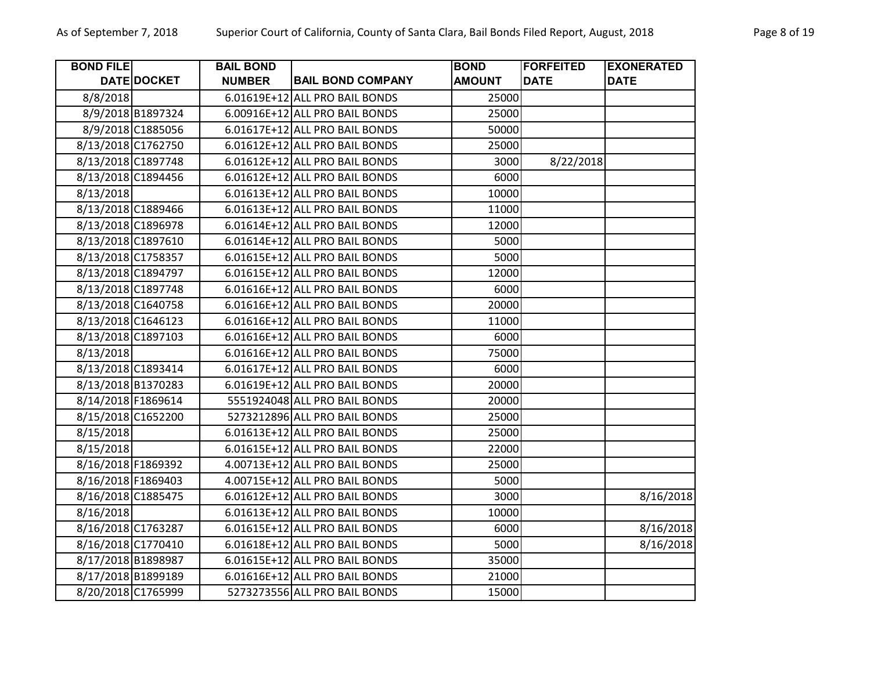| <b>BOND FILE</b>   |                   | <b>BAIL BOND</b> |                                | <b>BOND</b>   | <b>FORFEITED</b> | <b>EXONERATED</b> |
|--------------------|-------------------|------------------|--------------------------------|---------------|------------------|-------------------|
|                    | DATE DOCKET       | <b>NUMBER</b>    | <b>BAIL BOND COMPANY</b>       | <b>AMOUNT</b> | <b>DATE</b>      | <b>DATE</b>       |
| 8/8/2018           |                   |                  | 6.01619E+12 ALL PRO BAIL BONDS | 25000         |                  |                   |
|                    | 8/9/2018 B1897324 |                  | 6.00916E+12 ALL PRO BAIL BONDS | 25000         |                  |                   |
|                    | 8/9/2018 C1885056 |                  | 6.01617E+12 ALL PRO BAIL BONDS | 50000         |                  |                   |
| 8/13/2018 C1762750 |                   |                  | 6.01612E+12 ALL PRO BAIL BONDS | 25000         |                  |                   |
| 8/13/2018 C1897748 |                   |                  | 6.01612E+12 ALL PRO BAIL BONDS | 3000          | 8/22/2018        |                   |
| 8/13/2018 C1894456 |                   |                  | 6.01612E+12 ALL PRO BAIL BONDS | 6000          |                  |                   |
| 8/13/2018          |                   |                  | 6.01613E+12 ALL PRO BAIL BONDS | 10000         |                  |                   |
| 8/13/2018 C1889466 |                   |                  | 6.01613E+12 ALL PRO BAIL BONDS | 11000         |                  |                   |
| 8/13/2018 C1896978 |                   |                  | 6.01614E+12 ALL PRO BAIL BONDS | 12000         |                  |                   |
| 8/13/2018 C1897610 |                   |                  | 6.01614E+12 ALL PRO BAIL BONDS | 5000          |                  |                   |
| 8/13/2018 C1758357 |                   |                  | 6.01615E+12 ALL PRO BAIL BONDS | 5000          |                  |                   |
| 8/13/2018 C1894797 |                   |                  | 6.01615E+12 ALL PRO BAIL BONDS | 12000         |                  |                   |
| 8/13/2018 C1897748 |                   |                  | 6.01616E+12 ALL PRO BAIL BONDS | 6000          |                  |                   |
| 8/13/2018 C1640758 |                   |                  | 6.01616E+12 ALL PRO BAIL BONDS | 20000         |                  |                   |
| 8/13/2018 C1646123 |                   |                  | 6.01616E+12 ALL PRO BAIL BONDS | 11000         |                  |                   |
| 8/13/2018 C1897103 |                   |                  | 6.01616E+12 ALL PRO BAIL BONDS | 6000          |                  |                   |
| 8/13/2018          |                   |                  | 6.01616E+12 ALL PRO BAIL BONDS | 75000         |                  |                   |
| 8/13/2018 C1893414 |                   |                  | 6.01617E+12 ALL PRO BAIL BONDS | 6000          |                  |                   |
| 8/13/2018 B1370283 |                   |                  | 6.01619E+12 ALL PRO BAIL BONDS | 20000         |                  |                   |
| 8/14/2018 F1869614 |                   |                  | 5551924048 ALL PRO BAIL BONDS  | 20000         |                  |                   |
| 8/15/2018 C1652200 |                   |                  | 5273212896 ALL PRO BAIL BONDS  | 25000         |                  |                   |
| 8/15/2018          |                   |                  | 6.01613E+12 ALL PRO BAIL BONDS | 25000         |                  |                   |
| 8/15/2018          |                   |                  | 6.01615E+12 ALL PRO BAIL BONDS | 22000         |                  |                   |
| 8/16/2018 F1869392 |                   |                  | 4.00713E+12 ALL PRO BAIL BONDS | 25000         |                  |                   |
| 8/16/2018 F1869403 |                   |                  | 4.00715E+12 ALL PRO BAIL BONDS | 5000          |                  |                   |
| 8/16/2018 C1885475 |                   |                  | 6.01612E+12 ALL PRO BAIL BONDS | 3000          |                  | 8/16/2018         |
| 8/16/2018          |                   |                  | 6.01613E+12 ALL PRO BAIL BONDS | 10000         |                  |                   |
| 8/16/2018 C1763287 |                   |                  | 6.01615E+12 ALL PRO BAIL BONDS | 6000          |                  | 8/16/2018         |
| 8/16/2018 C1770410 |                   |                  | 6.01618E+12 ALL PRO BAIL BONDS | 5000          |                  | 8/16/2018         |
| 8/17/2018 B1898987 |                   |                  | 6.01615E+12 ALL PRO BAIL BONDS | 35000         |                  |                   |
| 8/17/2018 B1899189 |                   |                  | 6.01616E+12 ALL PRO BAIL BONDS | 21000         |                  |                   |
| 8/20/2018 C1765999 |                   |                  | 5273273556 ALL PRO BAIL BONDS  | 15000         |                  |                   |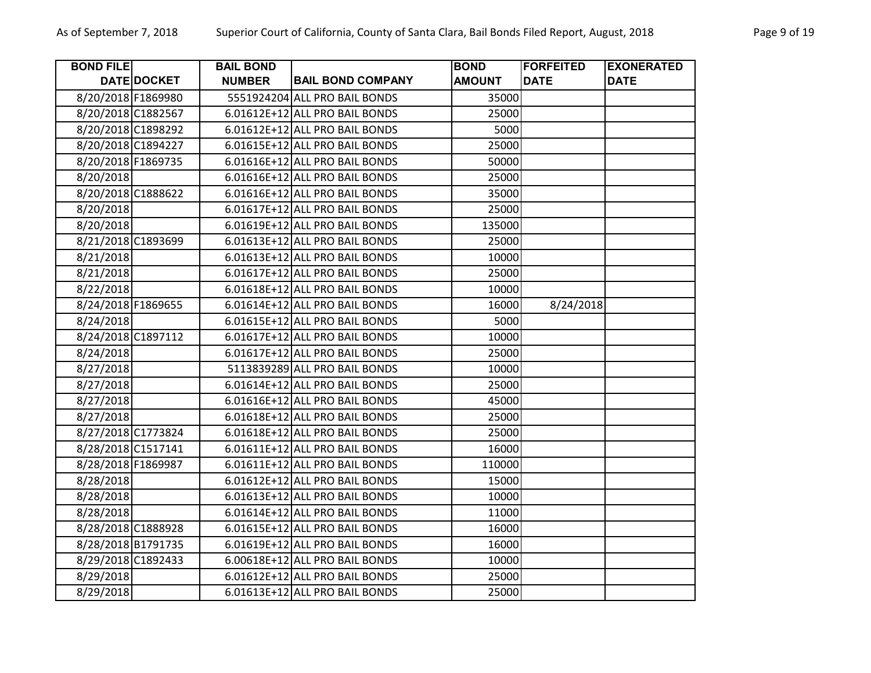| <b>BOND FILE</b>   |                    | <b>BAIL BOND</b> |                                | <b>BOND</b>   | <b>FORFEITED</b> | <b>EXONERATED</b> |
|--------------------|--------------------|------------------|--------------------------------|---------------|------------------|-------------------|
|                    | <b>DATE DOCKET</b> | <b>NUMBER</b>    | <b>BAIL BOND COMPANY</b>       | <b>AMOUNT</b> | <b>DATE</b>      | <b>DATE</b>       |
| 8/20/2018 F1869980 |                    |                  | 5551924204 ALL PRO BAIL BONDS  | 35000         |                  |                   |
| 8/20/2018 C1882567 |                    |                  | 6.01612E+12 ALL PRO BAIL BONDS | 25000         |                  |                   |
| 8/20/2018 C1898292 |                    |                  | 6.01612E+12 ALL PRO BAIL BONDS | 5000          |                  |                   |
| 8/20/2018 C1894227 |                    |                  | 6.01615E+12 ALL PRO BAIL BONDS | 25000         |                  |                   |
| 8/20/2018 F1869735 |                    |                  | 6.01616E+12 ALL PRO BAIL BONDS | 50000         |                  |                   |
| 8/20/2018          |                    |                  | 6.01616E+12 ALL PRO BAIL BONDS | 25000         |                  |                   |
| 8/20/2018 C1888622 |                    |                  | 6.01616E+12 ALL PRO BAIL BONDS | 35000         |                  |                   |
| 8/20/2018          |                    |                  | 6.01617E+12 ALL PRO BAIL BONDS | 25000         |                  |                   |
| 8/20/2018          |                    |                  | 6.01619E+12 ALL PRO BAIL BONDS | 135000        |                  |                   |
| 8/21/2018 C1893699 |                    |                  | 6.01613E+12 ALL PRO BAIL BONDS | 25000         |                  |                   |
| 8/21/2018          |                    |                  | 6.01613E+12 ALL PRO BAIL BONDS | 10000         |                  |                   |
| 8/21/2018          |                    |                  | 6.01617E+12 ALL PRO BAIL BONDS | 25000         |                  |                   |
| 8/22/2018          |                    |                  | 6.01618E+12 ALL PRO BAIL BONDS | 10000         |                  |                   |
| 8/24/2018 F1869655 |                    |                  | 6.01614E+12 ALL PRO BAIL BONDS | 16000         | 8/24/2018        |                   |
| 8/24/2018          |                    |                  | 6.01615E+12 ALL PRO BAIL BONDS | 5000          |                  |                   |
| 8/24/2018 C1897112 |                    |                  | 6.01617E+12 ALL PRO BAIL BONDS | 10000         |                  |                   |
| 8/24/2018          |                    |                  | 6.01617E+12 ALL PRO BAIL BONDS | 25000         |                  |                   |
| 8/27/2018          |                    |                  | 5113839289 ALL PRO BAIL BONDS  | 10000         |                  |                   |
| 8/27/2018          |                    |                  | 6.01614E+12 ALL PRO BAIL BONDS | 25000         |                  |                   |
| 8/27/2018          |                    |                  | 6.01616E+12 ALL PRO BAIL BONDS | 45000         |                  |                   |
| 8/27/2018          |                    |                  | 6.01618E+12 ALL PRO BAIL BONDS | 25000         |                  |                   |
| 8/27/2018 C1773824 |                    |                  | 6.01618E+12 ALL PRO BAIL BONDS | 25000         |                  |                   |
| 8/28/2018 C1517141 |                    |                  | 6.01611E+12 ALL PRO BAIL BONDS | 16000         |                  |                   |
| 8/28/2018 F1869987 |                    |                  | 6.01611E+12 ALL PRO BAIL BONDS | 110000        |                  |                   |
| 8/28/2018          |                    |                  | 6.01612E+12 ALL PRO BAIL BONDS | 15000         |                  |                   |
| 8/28/2018          |                    |                  | 6.01613E+12 ALL PRO BAIL BONDS | 10000         |                  |                   |
| 8/28/2018          |                    |                  | 6.01614E+12 ALL PRO BAIL BONDS | 11000         |                  |                   |
| 8/28/2018 C1888928 |                    |                  | 6.01615E+12 ALL PRO BAIL BONDS | 16000         |                  |                   |
| 8/28/2018 B1791735 |                    |                  | 6.01619E+12 ALL PRO BAIL BONDS | 16000         |                  |                   |
| 8/29/2018 C1892433 |                    |                  | 6.00618E+12 ALL PRO BAIL BONDS | 10000         |                  |                   |
| 8/29/2018          |                    |                  | 6.01612E+12 ALL PRO BAIL BONDS | 25000         |                  |                   |
| 8/29/2018          |                    |                  | 6.01613E+12 ALL PRO BAIL BONDS | 25000         |                  |                   |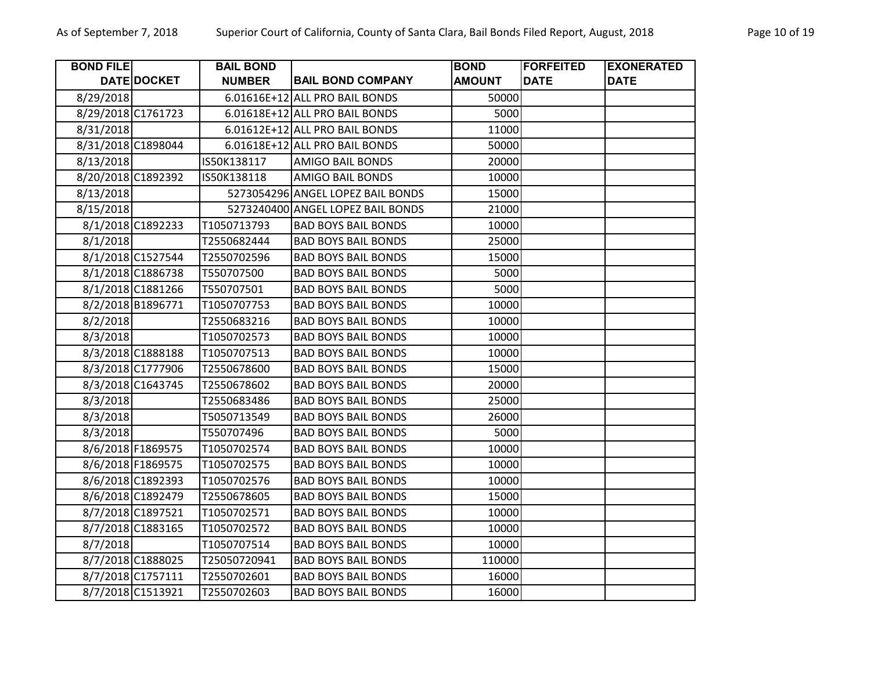| <b>BOND FILE</b>   |                    | <b>BAIL BOND</b> |                                   | <b>BOND</b>   | <b>FORFEITED</b> | <b>EXONERATED</b> |
|--------------------|--------------------|------------------|-----------------------------------|---------------|------------------|-------------------|
|                    | <b>DATE DOCKET</b> | <b>NUMBER</b>    | <b>BAIL BOND COMPANY</b>          | <b>AMOUNT</b> | <b>DATE</b>      | <b>DATE</b>       |
| 8/29/2018          |                    |                  | 6.01616E+12 ALL PRO BAIL BONDS    | 50000         |                  |                   |
| 8/29/2018 C1761723 |                    |                  | 6.01618E+12 ALL PRO BAIL BONDS    | 5000          |                  |                   |
| 8/31/2018          |                    |                  | 6.01612E+12 ALL PRO BAIL BONDS    | 11000         |                  |                   |
| 8/31/2018 C1898044 |                    |                  | 6.01618E+12 ALL PRO BAIL BONDS    | 50000         |                  |                   |
| 8/13/2018          |                    | IS50K138117      | <b>AMIGO BAIL BONDS</b>           | 20000         |                  |                   |
| 8/20/2018 C1892392 |                    | IS50K138118      | <b>AMIGO BAIL BONDS</b>           | 10000         |                  |                   |
| 8/13/2018          |                    |                  | 5273054296 ANGEL LOPEZ BAIL BONDS | 15000         |                  |                   |
| 8/15/2018          |                    |                  | 5273240400 ANGEL LOPEZ BAIL BONDS | 21000         |                  |                   |
|                    | 8/1/2018 C1892233  | T1050713793      | <b>BAD BOYS BAIL BONDS</b>        | 10000         |                  |                   |
| 8/1/2018           |                    | T2550682444      | <b>BAD BOYS BAIL BONDS</b>        | 25000         |                  |                   |
|                    | 8/1/2018 C1527544  | T2550702596      | <b>BAD BOYS BAIL BONDS</b>        | 15000         |                  |                   |
|                    | 8/1/2018 C1886738  | T550707500       | <b>BAD BOYS BAIL BONDS</b>        | 5000          |                  |                   |
|                    | 8/1/2018 C1881266  | T550707501       | <b>BAD BOYS BAIL BONDS</b>        | 5000          |                  |                   |
|                    | 8/2/2018 B1896771  | T1050707753      | <b>BAD BOYS BAIL BONDS</b>        | 10000         |                  |                   |
| 8/2/2018           |                    | T2550683216      | <b>BAD BOYS BAIL BONDS</b>        | 10000         |                  |                   |
| 8/3/2018           |                    | T1050702573      | <b>BAD BOYS BAIL BONDS</b>        | 10000         |                  |                   |
|                    | 8/3/2018 C1888188  | T1050707513      | <b>BAD BOYS BAIL BONDS</b>        | 10000         |                  |                   |
|                    | 8/3/2018 C1777906  | T2550678600      | <b>BAD BOYS BAIL BONDS</b>        | 15000         |                  |                   |
|                    | 8/3/2018 C1643745  | T2550678602      | <b>BAD BOYS BAIL BONDS</b>        | 20000         |                  |                   |
| 8/3/2018           |                    | T2550683486      | <b>BAD BOYS BAIL BONDS</b>        | 25000         |                  |                   |
| 8/3/2018           |                    | T5050713549      | <b>BAD BOYS BAIL BONDS</b>        | 26000         |                  |                   |
| 8/3/2018           |                    | T550707496       | <b>BAD BOYS BAIL BONDS</b>        | 5000          |                  |                   |
|                    | 8/6/2018 F1869575  | T1050702574      | <b>BAD BOYS BAIL BONDS</b>        | 10000         |                  |                   |
|                    | 8/6/2018 F1869575  | T1050702575      | <b>BAD BOYS BAIL BONDS</b>        | 10000         |                  |                   |
|                    | 8/6/2018 C1892393  | T1050702576      | <b>BAD BOYS BAIL BONDS</b>        | 10000         |                  |                   |
|                    | 8/6/2018 C1892479  | T2550678605      | <b>BAD BOYS BAIL BONDS</b>        | 15000         |                  |                   |
|                    | 8/7/2018 C1897521  | T1050702571      | <b>BAD BOYS BAIL BONDS</b>        | 10000         |                  |                   |
|                    | 8/7/2018 C1883165  | T1050702572      | <b>BAD BOYS BAIL BONDS</b>        | 10000         |                  |                   |
| 8/7/2018           |                    | T1050707514      | <b>BAD BOYS BAIL BONDS</b>        | 10000         |                  |                   |
|                    | 8/7/2018 C1888025  | T25050720941     | <b>BAD BOYS BAIL BONDS</b>        | 110000        |                  |                   |
|                    | 8/7/2018 C1757111  | T2550702601      | <b>BAD BOYS BAIL BONDS</b>        | 16000         |                  |                   |
|                    | 8/7/2018 C1513921  | T2550702603      | <b>BAD BOYS BAIL BONDS</b>        | 16000         |                  |                   |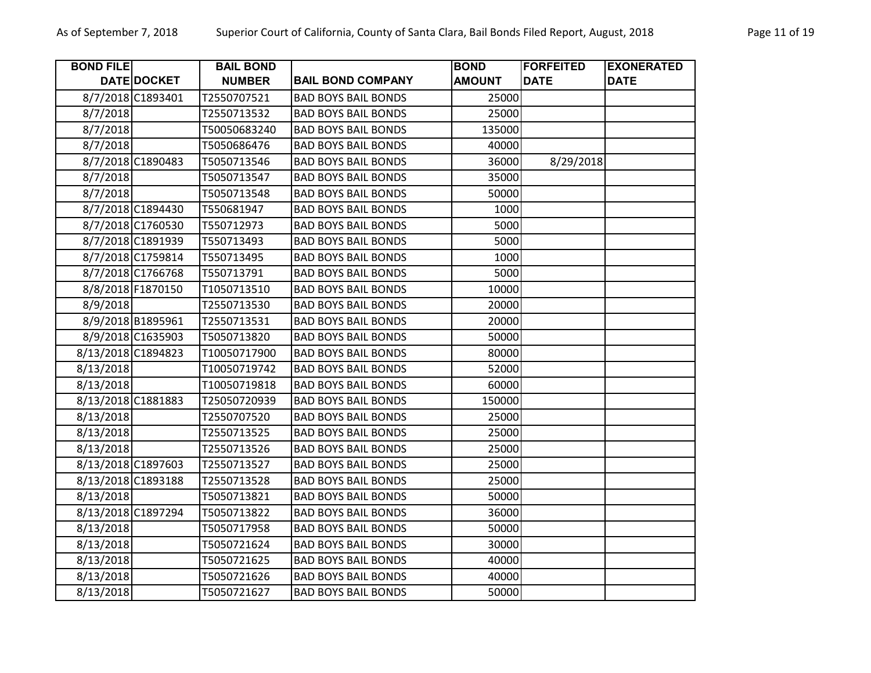| <b>BOND FILE</b>   |                    | <b>BAIL BOND</b> |                            | <b>BOND</b>   | <b>FORFEITED</b> | <b>EXONERATED</b> |
|--------------------|--------------------|------------------|----------------------------|---------------|------------------|-------------------|
|                    | <b>DATE DOCKET</b> | <b>NUMBER</b>    | <b>BAIL BOND COMPANY</b>   | <b>AMOUNT</b> | <b>DATE</b>      | <b>DATE</b>       |
|                    | 8/7/2018 C1893401  | T2550707521      | <b>BAD BOYS BAIL BONDS</b> | 25000         |                  |                   |
| 8/7/2018           |                    | T2550713532      | <b>BAD BOYS BAIL BONDS</b> | 25000         |                  |                   |
| 8/7/2018           |                    | T50050683240     | <b>BAD BOYS BAIL BONDS</b> | 135000        |                  |                   |
| 8/7/2018           |                    | T5050686476      | <b>BAD BOYS BAIL BONDS</b> | 40000         |                  |                   |
|                    | 8/7/2018 C1890483  | T5050713546      | <b>BAD BOYS BAIL BONDS</b> | 36000         | 8/29/2018        |                   |
| 8/7/2018           |                    | T5050713547      | <b>BAD BOYS BAIL BONDS</b> | 35000         |                  |                   |
| 8/7/2018           |                    | T5050713548      | <b>BAD BOYS BAIL BONDS</b> | 50000         |                  |                   |
|                    | 8/7/2018 C1894430  | T550681947       | <b>BAD BOYS BAIL BONDS</b> | 1000          |                  |                   |
|                    | 8/7/2018 C1760530  | T550712973       | <b>BAD BOYS BAIL BONDS</b> | 5000          |                  |                   |
|                    | 8/7/2018 C1891939  | T550713493       | <b>BAD BOYS BAIL BONDS</b> | 5000          |                  |                   |
|                    | 8/7/2018 C1759814  | T550713495       | <b>BAD BOYS BAIL BONDS</b> | 1000          |                  |                   |
|                    | 8/7/2018 C1766768  | T550713791       | <b>BAD BOYS BAIL BONDS</b> | 5000          |                  |                   |
|                    | 8/8/2018 F1870150  | T1050713510      | <b>BAD BOYS BAIL BONDS</b> | 10000         |                  |                   |
| 8/9/2018           |                    | T2550713530      | <b>BAD BOYS BAIL BONDS</b> | 20000         |                  |                   |
|                    | 8/9/2018 B1895961  | T2550713531      | <b>BAD BOYS BAIL BONDS</b> | 20000         |                  |                   |
|                    | 8/9/2018 C1635903  | T5050713820      | <b>BAD BOYS BAIL BONDS</b> | 50000         |                  |                   |
|                    | 8/13/2018 C1894823 | T10050717900     | <b>BAD BOYS BAIL BONDS</b> | 80000         |                  |                   |
| 8/13/2018          |                    | T10050719742     | <b>BAD BOYS BAIL BONDS</b> | 52000         |                  |                   |
| 8/13/2018          |                    | T10050719818     | <b>BAD BOYS BAIL BONDS</b> | 60000         |                  |                   |
| 8/13/2018 C1881883 |                    | T25050720939     | <b>BAD BOYS BAIL BONDS</b> | 150000        |                  |                   |
| 8/13/2018          |                    | T2550707520      | <b>BAD BOYS BAIL BONDS</b> | 25000         |                  |                   |
| 8/13/2018          |                    | T2550713525      | <b>BAD BOYS BAIL BONDS</b> | 25000         |                  |                   |
| 8/13/2018          |                    | T2550713526      | <b>BAD BOYS BAIL BONDS</b> | 25000         |                  |                   |
| 8/13/2018 C1897603 |                    | T2550713527      | <b>BAD BOYS BAIL BONDS</b> | 25000         |                  |                   |
|                    | 8/13/2018 C1893188 | T2550713528      | <b>BAD BOYS BAIL BONDS</b> | 25000         |                  |                   |
| 8/13/2018          |                    | T5050713821      | <b>BAD BOYS BAIL BONDS</b> | 50000         |                  |                   |
|                    | 8/13/2018 C1897294 | T5050713822      | <b>BAD BOYS BAIL BONDS</b> | 36000         |                  |                   |
| 8/13/2018          |                    | T5050717958      | <b>BAD BOYS BAIL BONDS</b> | 50000         |                  |                   |
| 8/13/2018          |                    | T5050721624      | <b>BAD BOYS BAIL BONDS</b> | 30000         |                  |                   |
| 8/13/2018          |                    | T5050721625      | <b>BAD BOYS BAIL BONDS</b> | 40000         |                  |                   |
| 8/13/2018          |                    | T5050721626      | <b>BAD BOYS BAIL BONDS</b> | 40000         |                  |                   |
| 8/13/2018          |                    | T5050721627      | <b>BAD BOYS BAIL BONDS</b> | 50000         |                  |                   |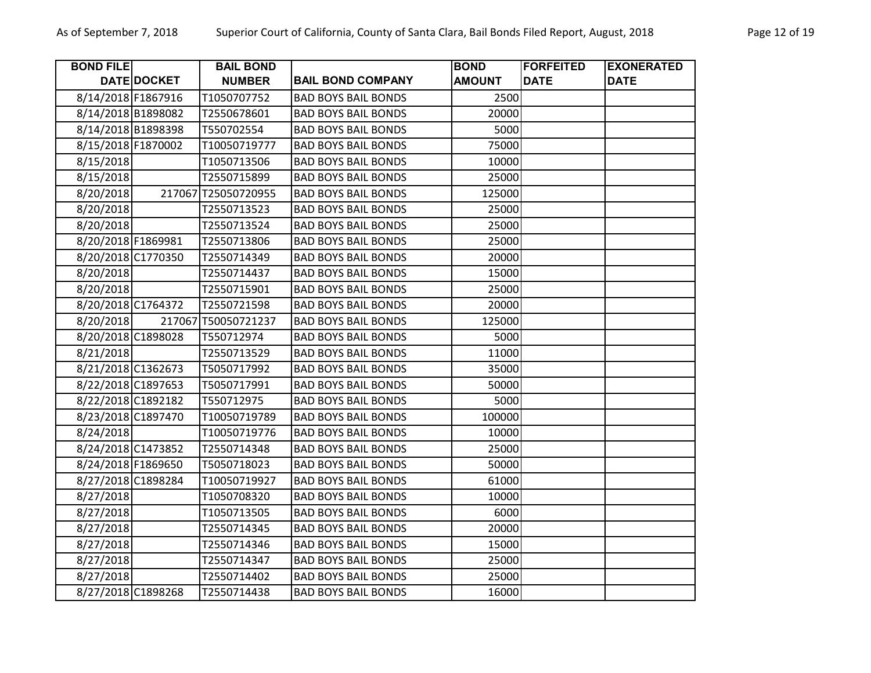| <b>BOND FILE</b>   |             | <b>BAIL BOND</b>    |                            | <b>BOND</b>   | <b>FORFEITED</b> | <b>EXONERATED</b> |
|--------------------|-------------|---------------------|----------------------------|---------------|------------------|-------------------|
|                    | DATE DOCKET | <b>NUMBER</b>       | <b>BAIL BOND COMPANY</b>   | <b>AMOUNT</b> | <b>DATE</b>      | <b>DATE</b>       |
| 8/14/2018 F1867916 |             | T1050707752         | <b>BAD BOYS BAIL BONDS</b> | 2500          |                  |                   |
| 8/14/2018 B1898082 |             | T2550678601         | <b>BAD BOYS BAIL BONDS</b> | 20000         |                  |                   |
| 8/14/2018 B1898398 |             | T550702554          | <b>BAD BOYS BAIL BONDS</b> | 5000          |                  |                   |
| 8/15/2018 F1870002 |             | T10050719777        | <b>BAD BOYS BAIL BONDS</b> | 75000         |                  |                   |
| 8/15/2018          |             | T1050713506         | <b>BAD BOYS BAIL BONDS</b> | 10000         |                  |                   |
| 8/15/2018          |             | T2550715899         | <b>BAD BOYS BAIL BONDS</b> | 25000         |                  |                   |
| 8/20/2018          |             | 217067 T25050720955 | <b>BAD BOYS BAIL BONDS</b> | 125000        |                  |                   |
| 8/20/2018          |             | T2550713523         | <b>BAD BOYS BAIL BONDS</b> | 25000         |                  |                   |
| 8/20/2018          |             | T2550713524         | <b>BAD BOYS BAIL BONDS</b> | 25000         |                  |                   |
| 8/20/2018 F1869981 |             | T2550713806         | <b>BAD BOYS BAIL BONDS</b> | 25000         |                  |                   |
| 8/20/2018 C1770350 |             | T2550714349         | <b>BAD BOYS BAIL BONDS</b> | 20000         |                  |                   |
| 8/20/2018          |             | T2550714437         | <b>BAD BOYS BAIL BONDS</b> | 15000         |                  |                   |
| 8/20/2018          |             | T2550715901         | <b>BAD BOYS BAIL BONDS</b> | 25000         |                  |                   |
| 8/20/2018 C1764372 |             | T2550721598         | <b>BAD BOYS BAIL BONDS</b> | 20000         |                  |                   |
| 8/20/2018          |             | 217067 T50050721237 | <b>BAD BOYS BAIL BONDS</b> | 125000        |                  |                   |
| 8/20/2018 C1898028 |             | T550712974          | <b>BAD BOYS BAIL BONDS</b> | 5000          |                  |                   |
| 8/21/2018          |             | T2550713529         | <b>BAD BOYS BAIL BONDS</b> | 11000         |                  |                   |
| 8/21/2018 C1362673 |             | T5050717992         | <b>BAD BOYS BAIL BONDS</b> | 35000         |                  |                   |
| 8/22/2018 C1897653 |             | T5050717991         | <b>BAD BOYS BAIL BONDS</b> | 50000         |                  |                   |
| 8/22/2018 C1892182 |             | T550712975          | <b>BAD BOYS BAIL BONDS</b> | 5000          |                  |                   |
| 8/23/2018 C1897470 |             | T10050719789        | <b>BAD BOYS BAIL BONDS</b> | 100000        |                  |                   |
| 8/24/2018          |             | T10050719776        | <b>BAD BOYS BAIL BONDS</b> | 10000         |                  |                   |
| 8/24/2018 C1473852 |             | T2550714348         | <b>BAD BOYS BAIL BONDS</b> | 25000         |                  |                   |
| 8/24/2018 F1869650 |             | T5050718023         | <b>BAD BOYS BAIL BONDS</b> | 50000         |                  |                   |
| 8/27/2018 C1898284 |             | T10050719927        | <b>BAD BOYS BAIL BONDS</b> | 61000         |                  |                   |
| 8/27/2018          |             | T1050708320         | <b>BAD BOYS BAIL BONDS</b> | 10000         |                  |                   |
| 8/27/2018          |             | T1050713505         | <b>BAD BOYS BAIL BONDS</b> | 6000          |                  |                   |
| 8/27/2018          |             | T2550714345         | <b>BAD BOYS BAIL BONDS</b> | 20000         |                  |                   |
| 8/27/2018          |             | T2550714346         | <b>BAD BOYS BAIL BONDS</b> | 15000         |                  |                   |
| 8/27/2018          |             | T2550714347         | <b>BAD BOYS BAIL BONDS</b> | 25000         |                  |                   |
| 8/27/2018          |             | T2550714402         | <b>BAD BOYS BAIL BONDS</b> | 25000         |                  |                   |
| 8/27/2018 C1898268 |             | T2550714438         | <b>BAD BOYS BAIL BONDS</b> | 16000         |                  |                   |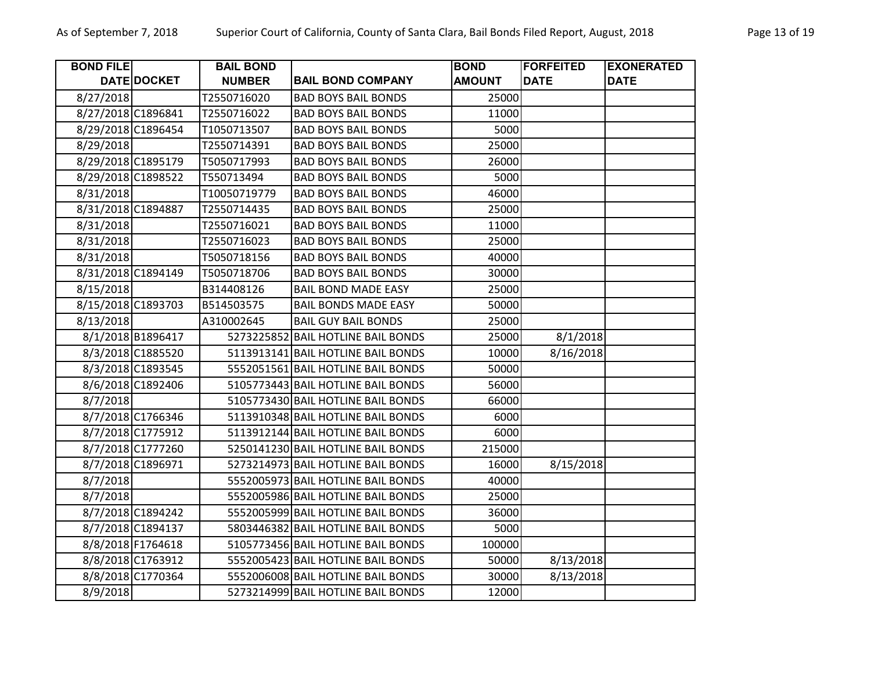| <b>BOND FILE</b>   |                    | <b>BAIL BOND</b> |                                    | <b>BOND</b>   | <b>FORFEITED</b> | <b>EXONERATED</b> |
|--------------------|--------------------|------------------|------------------------------------|---------------|------------------|-------------------|
|                    | <b>DATE DOCKET</b> | <b>NUMBER</b>    | <b>BAIL BOND COMPANY</b>           | <b>AMOUNT</b> | <b>DATE</b>      | <b>DATE</b>       |
| 8/27/2018          |                    | T2550716020      | <b>BAD BOYS BAIL BONDS</b>         | 25000         |                  |                   |
| 8/27/2018 C1896841 |                    | T2550716022      | <b>BAD BOYS BAIL BONDS</b>         | 11000         |                  |                   |
| 8/29/2018 C1896454 |                    | T1050713507      | <b>BAD BOYS BAIL BONDS</b>         | 5000          |                  |                   |
| 8/29/2018          |                    | T2550714391      | <b>BAD BOYS BAIL BONDS</b>         | 25000         |                  |                   |
| 8/29/2018 C1895179 |                    | T5050717993      | <b>BAD BOYS BAIL BONDS</b>         | 26000         |                  |                   |
| 8/29/2018 C1898522 |                    | T550713494       | <b>BAD BOYS BAIL BONDS</b>         | 5000          |                  |                   |
| 8/31/2018          |                    | T10050719779     | <b>BAD BOYS BAIL BONDS</b>         | 46000         |                  |                   |
| 8/31/2018 C1894887 |                    | T2550714435      | <b>BAD BOYS BAIL BONDS</b>         | 25000         |                  |                   |
| 8/31/2018          |                    | T2550716021      | <b>BAD BOYS BAIL BONDS</b>         | 11000         |                  |                   |
| 8/31/2018          |                    | T2550716023      | <b>BAD BOYS BAIL BONDS</b>         | 25000         |                  |                   |
| 8/31/2018          |                    | T5050718156      | <b>BAD BOYS BAIL BONDS</b>         | 40000         |                  |                   |
| 8/31/2018 C1894149 |                    | T5050718706      | <b>BAD BOYS BAIL BONDS</b>         | 30000         |                  |                   |
| 8/15/2018          |                    | B314408126       | <b>BAIL BOND MADE EASY</b>         | 25000         |                  |                   |
| 8/15/2018 C1893703 |                    | B514503575       | <b>BAIL BONDS MADE EASY</b>        | 50000         |                  |                   |
| 8/13/2018          |                    | A310002645       | <b>BAIL GUY BAIL BONDS</b>         | 25000         |                  |                   |
|                    | 8/1/2018 B1896417  |                  | 5273225852 BAIL HOTLINE BAIL BONDS | 25000         | 8/1/2018         |                   |
|                    | 8/3/2018 C1885520  |                  | 5113913141 BAIL HOTLINE BAIL BONDS | 10000         | 8/16/2018        |                   |
|                    | 8/3/2018 C1893545  |                  | 5552051561 BAIL HOTLINE BAIL BONDS | 50000         |                  |                   |
|                    | 8/6/2018 C1892406  |                  | 5105773443 BAIL HOTLINE BAIL BONDS | 56000         |                  |                   |
| 8/7/2018           |                    |                  | 5105773430 BAIL HOTLINE BAIL BONDS | 66000         |                  |                   |
|                    | 8/7/2018 C1766346  |                  | 5113910348 BAIL HOTLINE BAIL BONDS | 6000          |                  |                   |
|                    | 8/7/2018 C1775912  |                  | 5113912144 BAIL HOTLINE BAIL BONDS | 6000          |                  |                   |
|                    | 8/7/2018 C1777260  |                  | 5250141230 BAIL HOTLINE BAIL BONDS | 215000        |                  |                   |
|                    | 8/7/2018 C1896971  |                  | 5273214973 BAIL HOTLINE BAIL BONDS | 16000         | 8/15/2018        |                   |
| 8/7/2018           |                    |                  | 5552005973 BAIL HOTLINE BAIL BONDS | 40000         |                  |                   |
| 8/7/2018           |                    |                  | 5552005986 BAIL HOTLINE BAIL BONDS | 25000         |                  |                   |
|                    | 8/7/2018 C1894242  |                  | 5552005999 BAIL HOTLINE BAIL BONDS | 36000         |                  |                   |
|                    | 8/7/2018 C1894137  |                  | 5803446382 BAIL HOTLINE BAIL BONDS | 5000          |                  |                   |
|                    | 8/8/2018 F1764618  |                  | 5105773456 BAIL HOTLINE BAIL BONDS | 100000        |                  |                   |
|                    | 8/8/2018 C1763912  |                  | 5552005423 BAIL HOTLINE BAIL BONDS | 50000         | 8/13/2018        |                   |
|                    | 8/8/2018 C1770364  |                  | 5552006008 BAIL HOTLINE BAIL BONDS | 30000         | 8/13/2018        |                   |
| 8/9/2018           |                    |                  | 5273214999 BAIL HOTLINE BAIL BONDS | 12000         |                  |                   |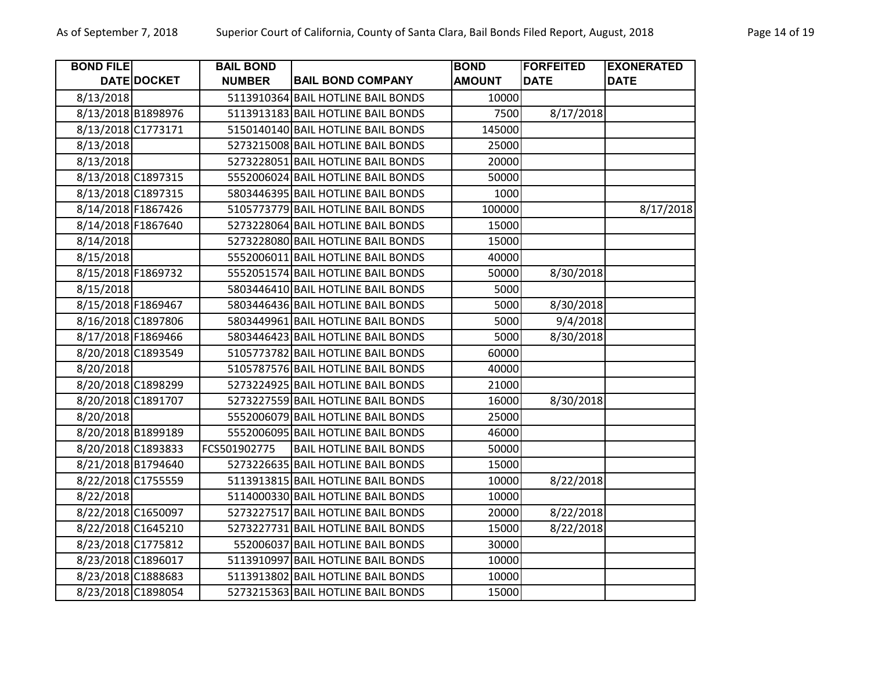| <b>BOND FILE</b>   |                    | <b>BAIL BOND</b> |                                    | <b>BOND</b>   | <b>FORFEITED</b> | <b>EXONERATED</b> |
|--------------------|--------------------|------------------|------------------------------------|---------------|------------------|-------------------|
|                    | DATE DOCKET        | <b>NUMBER</b>    | <b>BAIL BOND COMPANY</b>           | <b>AMOUNT</b> | <b>DATE</b>      | <b>DATE</b>       |
| 8/13/2018          |                    |                  | 5113910364 BAIL HOTLINE BAIL BONDS | 10000         |                  |                   |
|                    | 8/13/2018 B1898976 |                  | 5113913183 BAIL HOTLINE BAIL BONDS | 7500          | 8/17/2018        |                   |
| 8/13/2018 C1773171 |                    |                  | 5150140140 BAIL HOTLINE BAIL BONDS | 145000        |                  |                   |
| 8/13/2018          |                    |                  | 5273215008 BAIL HOTLINE BAIL BONDS | 25000         |                  |                   |
| 8/13/2018          |                    |                  | 5273228051 BAIL HOTLINE BAIL BONDS | 20000         |                  |                   |
| 8/13/2018 C1897315 |                    |                  | 5552006024 BAIL HOTLINE BAIL BONDS | 50000         |                  |                   |
|                    | 8/13/2018 C1897315 |                  | 5803446395 BAIL HOTLINE BAIL BONDS | 1000          |                  |                   |
| 8/14/2018 F1867426 |                    |                  | 5105773779 BAIL HOTLINE BAIL BONDS | 100000        |                  | 8/17/2018         |
| 8/14/2018 F1867640 |                    |                  | 5273228064 BAIL HOTLINE BAIL BONDS | 15000         |                  |                   |
| 8/14/2018          |                    |                  | 5273228080 BAIL HOTLINE BAIL BONDS | 15000         |                  |                   |
| 8/15/2018          |                    |                  | 5552006011 BAIL HOTLINE BAIL BONDS | 40000         |                  |                   |
| 8/15/2018 F1869732 |                    |                  | 5552051574 BAIL HOTLINE BAIL BONDS | 50000         | 8/30/2018        |                   |
| 8/15/2018          |                    |                  | 5803446410 BAIL HOTLINE BAIL BONDS | 5000          |                  |                   |
| 8/15/2018 F1869467 |                    |                  | 5803446436 BAIL HOTLINE BAIL BONDS | 5000          | 8/30/2018        |                   |
| 8/16/2018 C1897806 |                    |                  | 5803449961 BAIL HOTLINE BAIL BONDS | 5000          | 9/4/2018         |                   |
| 8/17/2018 F1869466 |                    |                  | 5803446423 BAIL HOTLINE BAIL BONDS | 5000          | 8/30/2018        |                   |
| 8/20/2018 C1893549 |                    |                  | 5105773782 BAIL HOTLINE BAIL BONDS | 60000         |                  |                   |
| 8/20/2018          |                    |                  | 5105787576 BAIL HOTLINE BAIL BONDS | 40000         |                  |                   |
|                    | 8/20/2018 C1898299 |                  | 5273224925 BAIL HOTLINE BAIL BONDS | 21000         |                  |                   |
|                    | 8/20/2018 C1891707 |                  | 5273227559 BAIL HOTLINE BAIL BONDS | 16000         | 8/30/2018        |                   |
| 8/20/2018          |                    |                  | 5552006079 BAIL HOTLINE BAIL BONDS | 25000         |                  |                   |
|                    | 8/20/2018 B1899189 |                  | 5552006095 BAIL HOTLINE BAIL BONDS | 46000         |                  |                   |
| 8/20/2018 C1893833 |                    | FCS501902775     | <b>BAIL HOTLINE BAIL BONDS</b>     | 50000         |                  |                   |
|                    | 8/21/2018 B1794640 |                  | 5273226635 BAIL HOTLINE BAIL BONDS | 15000         |                  |                   |
| 8/22/2018 C1755559 |                    |                  | 5113913815 BAIL HOTLINE BAIL BONDS | 10000         | 8/22/2018        |                   |
| 8/22/2018          |                    |                  | 5114000330 BAIL HOTLINE BAIL BONDS | 10000         |                  |                   |
| 8/22/2018 C1650097 |                    |                  | 5273227517 BAIL HOTLINE BAIL BONDS | 20000         | 8/22/2018        |                   |
|                    | 8/22/2018 C1645210 |                  | 5273227731 BAIL HOTLINE BAIL BONDS | 15000         | 8/22/2018        |                   |
|                    | 8/23/2018 C1775812 |                  | 552006037 BAIL HOTLINE BAIL BONDS  | 30000         |                  |                   |
|                    | 8/23/2018 C1896017 |                  | 5113910997 BAIL HOTLINE BAIL BONDS | 10000         |                  |                   |
| 8/23/2018 C1888683 |                    |                  | 5113913802 BAIL HOTLINE BAIL BONDS | 10000         |                  |                   |
| 8/23/2018 C1898054 |                    |                  | 5273215363 BAIL HOTLINE BAIL BONDS | 15000         |                  |                   |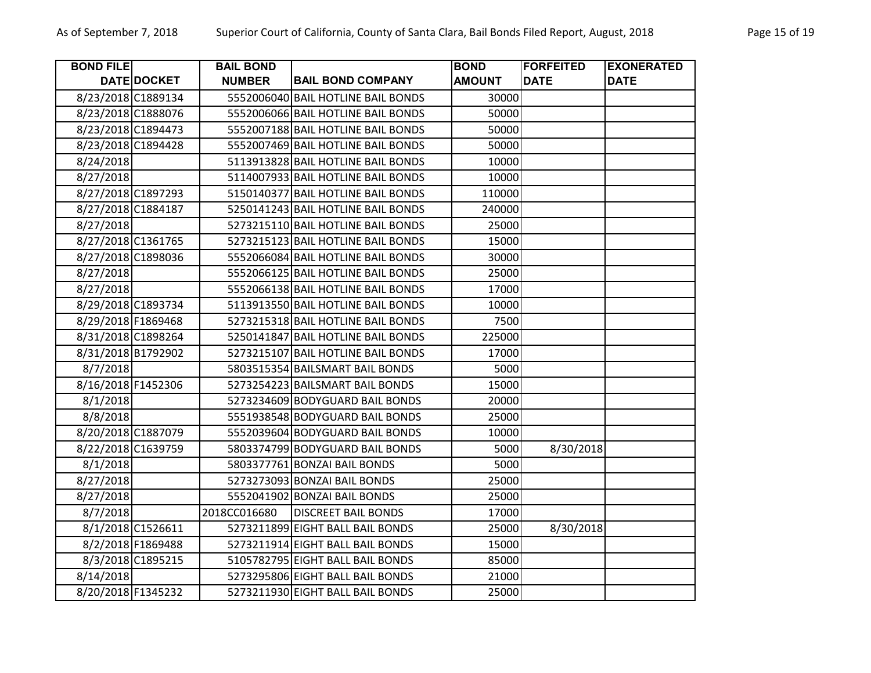| <b>BOND FILE</b>   |                    | <b>BAIL BOND</b> |                                    | <b>BOND</b>   | <b>FORFEITED</b> | <b>EXONERATED</b> |
|--------------------|--------------------|------------------|------------------------------------|---------------|------------------|-------------------|
|                    | <b>DATE DOCKET</b> | <b>NUMBER</b>    | <b>BAIL BOND COMPANY</b>           | <b>AMOUNT</b> | <b>DATE</b>      | <b>DATE</b>       |
| 8/23/2018 C1889134 |                    |                  | 5552006040 BAIL HOTLINE BAIL BONDS | 30000         |                  |                   |
| 8/23/2018 C1888076 |                    |                  | 5552006066 BAIL HOTLINE BAIL BONDS | 50000         |                  |                   |
| 8/23/2018 C1894473 |                    |                  | 5552007188 BAIL HOTLINE BAIL BONDS | 50000         |                  |                   |
| 8/23/2018 C1894428 |                    |                  | 5552007469 BAIL HOTLINE BAIL BONDS | 50000         |                  |                   |
| 8/24/2018          |                    |                  | 5113913828 BAIL HOTLINE BAIL BONDS | 10000         |                  |                   |
| 8/27/2018          |                    |                  | 5114007933 BAIL HOTLINE BAIL BONDS | 10000         |                  |                   |
| 8/27/2018 C1897293 |                    |                  | 5150140377 BAIL HOTLINE BAIL BONDS | 110000        |                  |                   |
| 8/27/2018 C1884187 |                    |                  | 5250141243 BAIL HOTLINE BAIL BONDS | 240000        |                  |                   |
| 8/27/2018          |                    |                  | 5273215110 BAIL HOTLINE BAIL BONDS | 25000         |                  |                   |
| 8/27/2018 C1361765 |                    |                  | 5273215123 BAIL HOTLINE BAIL BONDS | 15000         |                  |                   |
| 8/27/2018 C1898036 |                    |                  | 5552066084 BAIL HOTLINE BAIL BONDS | 30000         |                  |                   |
| 8/27/2018          |                    |                  | 5552066125 BAIL HOTLINE BAIL BONDS | 25000         |                  |                   |
| 8/27/2018          |                    |                  | 5552066138 BAIL HOTLINE BAIL BONDS | 17000         |                  |                   |
| 8/29/2018 C1893734 |                    |                  | 5113913550 BAIL HOTLINE BAIL BONDS | 10000         |                  |                   |
| 8/29/2018 F1869468 |                    |                  | 5273215318 BAIL HOTLINE BAIL BONDS | 7500          |                  |                   |
| 8/31/2018 C1898264 |                    |                  | 5250141847 BAIL HOTLINE BAIL BONDS | 225000        |                  |                   |
| 8/31/2018 B1792902 |                    |                  | 5273215107 BAIL HOTLINE BAIL BONDS | 17000         |                  |                   |
| 8/7/2018           |                    |                  | 5803515354 BAILSMART BAIL BONDS    | 5000          |                  |                   |
| 8/16/2018 F1452306 |                    |                  | 5273254223 BAILSMART BAIL BONDS    | 15000         |                  |                   |
| 8/1/2018           |                    |                  | 5273234609 BODYGUARD BAIL BONDS    | 20000         |                  |                   |
| 8/8/2018           |                    |                  | 5551938548 BODYGUARD BAIL BONDS    | 25000         |                  |                   |
| 8/20/2018 C1887079 |                    |                  | 5552039604 BODYGUARD BAIL BONDS    | 10000         |                  |                   |
| 8/22/2018 C1639759 |                    |                  | 5803374799 BODYGUARD BAIL BONDS    | 5000          | 8/30/2018        |                   |
| 8/1/2018           |                    |                  | 5803377761 BONZAI BAIL BONDS       | 5000          |                  |                   |
| 8/27/2018          |                    |                  | 5273273093 BONZAI BAIL BONDS       | 25000         |                  |                   |
| 8/27/2018          |                    |                  | 5552041902 BONZAI BAIL BONDS       | 25000         |                  |                   |
| 8/7/2018           |                    | 2018CC016680     | <b>DISCREET BAIL BONDS</b>         | 17000         |                  |                   |
|                    | 8/1/2018 C1526611  |                  | 5273211899 EIGHT BALL BAIL BONDS   | 25000         | 8/30/2018        |                   |
|                    | 8/2/2018 F1869488  |                  | 5273211914 EIGHT BALL BAIL BONDS   | 15000         |                  |                   |
|                    | 8/3/2018 C1895215  |                  | 5105782795 EIGHT BALL BAIL BONDS   | 85000         |                  |                   |
| 8/14/2018          |                    |                  | 5273295806 EIGHT BALL BAIL BONDS   | 21000         |                  |                   |
| 8/20/2018 F1345232 |                    |                  | 5273211930 EIGHT BALL BAIL BONDS   | 25000         |                  |                   |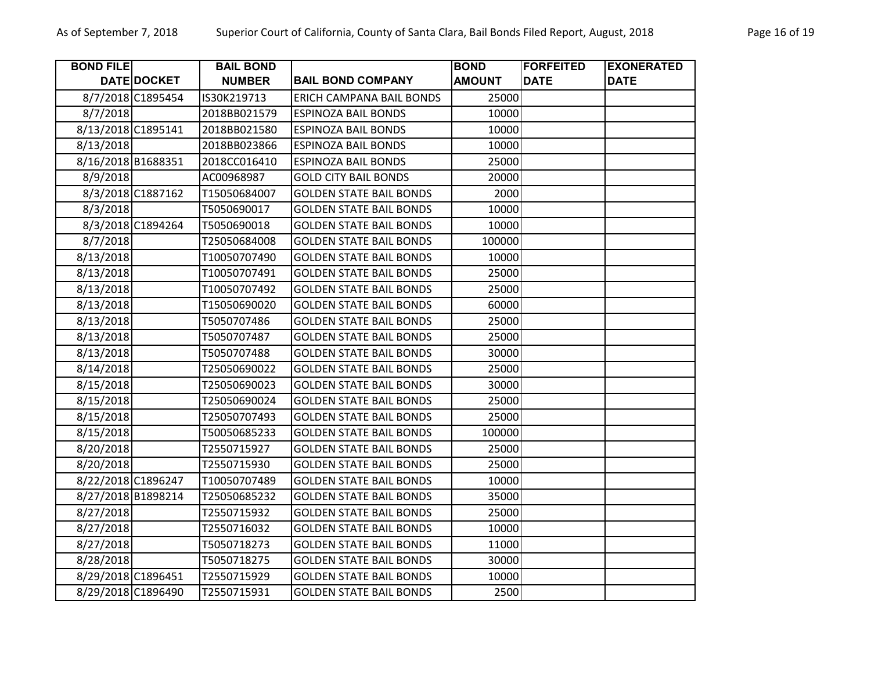| Page 16 |  |
|---------|--|
|---------|--|

| <b>BOND FILE</b>   |                    | <b>BAIL BOND</b> |                                 | <b>BOND</b>   | <b>FORFEITED</b> | <b>EXONERATED</b> |
|--------------------|--------------------|------------------|---------------------------------|---------------|------------------|-------------------|
|                    | <b>DATE DOCKET</b> | <b>NUMBER</b>    | <b>BAIL BOND COMPANY</b>        | <b>AMOUNT</b> | <b>DATE</b>      | <b>DATE</b>       |
|                    | 8/7/2018 C1895454  | IS30K219713      | <b>ERICH CAMPANA BAIL BONDS</b> | 25000         |                  |                   |
| 8/7/2018           |                    | 2018BB021579     | <b>ESPINOZA BAIL BONDS</b>      | 10000         |                  |                   |
| 8/13/2018 C1895141 |                    | 2018BB021580     | <b>ESPINOZA BAIL BONDS</b>      | 10000         |                  |                   |
| 8/13/2018          |                    | 2018BB023866     | <b>ESPINOZA BAIL BONDS</b>      | 10000         |                  |                   |
|                    | 8/16/2018 B1688351 | 2018CC016410     | <b>ESPINOZA BAIL BONDS</b>      | 25000         |                  |                   |
| 8/9/2018           |                    | AC00968987       | <b>GOLD CITY BAIL BONDS</b>     | 20000         |                  |                   |
|                    | 8/3/2018 C1887162  | T15050684007     | <b>GOLDEN STATE BAIL BONDS</b>  | 2000          |                  |                   |
| 8/3/2018           |                    | T5050690017      | <b>GOLDEN STATE BAIL BONDS</b>  | 10000         |                  |                   |
|                    | 8/3/2018 C1894264  | T5050690018      | <b>GOLDEN STATE BAIL BONDS</b>  | 10000         |                  |                   |
| 8/7/2018           |                    | T25050684008     | <b>GOLDEN STATE BAIL BONDS</b>  | 100000        |                  |                   |
| 8/13/2018          |                    | T10050707490     | <b>GOLDEN STATE BAIL BONDS</b>  | 10000         |                  |                   |
| 8/13/2018          |                    | T10050707491     | <b>GOLDEN STATE BAIL BONDS</b>  | 25000         |                  |                   |
| 8/13/2018          |                    | T10050707492     | <b>GOLDEN STATE BAIL BONDS</b>  | 25000         |                  |                   |
| 8/13/2018          |                    | T15050690020     | <b>GOLDEN STATE BAIL BONDS</b>  | 60000         |                  |                   |
| 8/13/2018          |                    | T5050707486      | <b>GOLDEN STATE BAIL BONDS</b>  | 25000         |                  |                   |
| 8/13/2018          |                    | T5050707487      | <b>GOLDEN STATE BAIL BONDS</b>  | 25000         |                  |                   |
| 8/13/2018          |                    | T5050707488      | <b>GOLDEN STATE BAIL BONDS</b>  | 30000         |                  |                   |
| 8/14/2018          |                    | T25050690022     | <b>GOLDEN STATE BAIL BONDS</b>  | 25000         |                  |                   |
| 8/15/2018          |                    | T25050690023     | <b>GOLDEN STATE BAIL BONDS</b>  | 30000         |                  |                   |
| 8/15/2018          |                    | T25050690024     | <b>GOLDEN STATE BAIL BONDS</b>  | 25000         |                  |                   |
| 8/15/2018          |                    | T25050707493     | <b>GOLDEN STATE BAIL BONDS</b>  | 25000         |                  |                   |
| 8/15/2018          |                    | T50050685233     | <b>GOLDEN STATE BAIL BONDS</b>  | 100000        |                  |                   |
| 8/20/2018          |                    | T2550715927      | <b>GOLDEN STATE BAIL BONDS</b>  | 25000         |                  |                   |
| 8/20/2018          |                    | T2550715930      | <b>GOLDEN STATE BAIL BONDS</b>  | 25000         |                  |                   |
|                    | 8/22/2018 C1896247 | T10050707489     | <b>GOLDEN STATE BAIL BONDS</b>  | 10000         |                  |                   |
|                    | 8/27/2018 B1898214 | T25050685232     | <b>GOLDEN STATE BAIL BONDS</b>  | 35000         |                  |                   |
| 8/27/2018          |                    | T2550715932      | <b>GOLDEN STATE BAIL BONDS</b>  | 25000         |                  |                   |
| 8/27/2018          |                    | T2550716032      | <b>GOLDEN STATE BAIL BONDS</b>  | 10000         |                  |                   |
| 8/27/2018          |                    | T5050718273      | <b>GOLDEN STATE BAIL BONDS</b>  | 11000         |                  |                   |
| 8/28/2018          |                    | T5050718275      | <b>GOLDEN STATE BAIL BONDS</b>  | 30000         |                  |                   |
| 8/29/2018 C1896451 |                    | T2550715929      | <b>GOLDEN STATE BAIL BONDS</b>  | 10000         |                  |                   |
|                    | 8/29/2018 C1896490 | T2550715931      | <b>GOLDEN STATE BAIL BONDS</b>  | 2500          |                  |                   |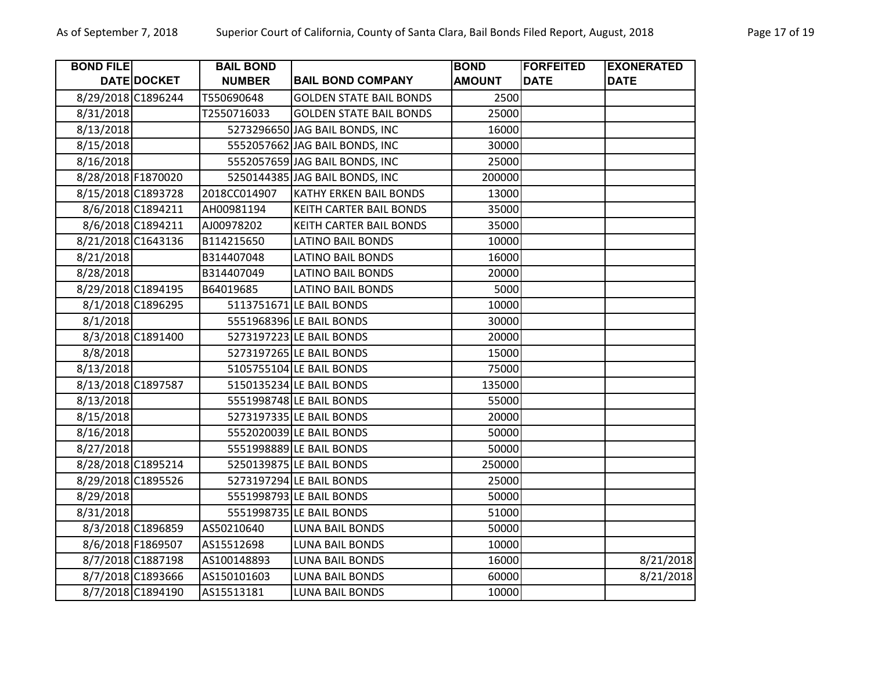| <b>BOND FILE</b> |                    | <b>BAIL BOND</b> |                                | <b>BOND</b>   | <b>FORFEITED</b> | <b>EXONERATED</b> |
|------------------|--------------------|------------------|--------------------------------|---------------|------------------|-------------------|
|                  | DATE DOCKET        | <b>NUMBER</b>    | <b>BAIL BOND COMPANY</b>       | <b>AMOUNT</b> | <b>DATE</b>      | <b>DATE</b>       |
|                  | 8/29/2018 C1896244 | T550690648       | <b>GOLDEN STATE BAIL BONDS</b> | 2500          |                  |                   |
| 8/31/2018        |                    | T2550716033      | <b>GOLDEN STATE BAIL BONDS</b> | 25000         |                  |                   |
| 8/13/2018        |                    |                  | 5273296650 JAG BAIL BONDS, INC | 16000         |                  |                   |
| 8/15/2018        |                    |                  | 5552057662 JAG BAIL BONDS, INC | 30000         |                  |                   |
| 8/16/2018        |                    |                  | 5552057659 JAG BAIL BONDS, INC | 25000         |                  |                   |
|                  | 8/28/2018 F1870020 |                  | 5250144385 JAG BAIL BONDS, INC | 200000        |                  |                   |
|                  | 8/15/2018 C1893728 | 2018CC014907     | <b>KATHY ERKEN BAIL BONDS</b>  | 13000         |                  |                   |
|                  | 8/6/2018 C1894211  | AH00981194       | KEITH CARTER BAIL BONDS        | 35000         |                  |                   |
|                  | 8/6/2018 C1894211  | AJ00978202       | KEITH CARTER BAIL BONDS        | 35000         |                  |                   |
|                  | 8/21/2018 C1643136 | B114215650       | <b>LATINO BAIL BONDS</b>       | 10000         |                  |                   |
| 8/21/2018        |                    | B314407048       | <b>LATINO BAIL BONDS</b>       | 16000         |                  |                   |
| 8/28/2018        |                    | B314407049       | <b>LATINO BAIL BONDS</b>       | 20000         |                  |                   |
|                  | 8/29/2018 C1894195 | B64019685        | <b>LATINO BAIL BONDS</b>       | 5000          |                  |                   |
|                  | 8/1/2018 C1896295  |                  | 5113751671 LE BAIL BONDS       | 10000         |                  |                   |
| 8/1/2018         |                    |                  | 5551968396 LE BAIL BONDS       | 30000         |                  |                   |
|                  | 8/3/2018 C1891400  |                  | 5273197223 LE BAIL BONDS       | 20000         |                  |                   |
| 8/8/2018         |                    |                  | 5273197265 LE BAIL BONDS       | 15000         |                  |                   |
| 8/13/2018        |                    |                  | 5105755104 LE BAIL BONDS       | 75000         |                  |                   |
|                  | 8/13/2018 C1897587 |                  | 5150135234 LE BAIL BONDS       | 135000        |                  |                   |
| 8/13/2018        |                    |                  | 5551998748 LE BAIL BONDS       | 55000         |                  |                   |
| 8/15/2018        |                    |                  | 5273197335 LE BAIL BONDS       | 20000         |                  |                   |
| 8/16/2018        |                    |                  | 5552020039 LE BAIL BONDS       | 50000         |                  |                   |
| 8/27/2018        |                    |                  | 5551998889 LE BAIL BONDS       | 50000         |                  |                   |
|                  | 8/28/2018 C1895214 |                  | 5250139875 LE BAIL BONDS       | 250000        |                  |                   |
|                  | 8/29/2018 C1895526 |                  | 5273197294 LE BAIL BONDS       | 25000         |                  |                   |
| 8/29/2018        |                    |                  | 5551998793 LE BAIL BONDS       | 50000         |                  |                   |
| 8/31/2018        |                    |                  | 5551998735 LE BAIL BONDS       | 51000         |                  |                   |
|                  | 8/3/2018 C1896859  | AS50210640       | <b>LUNA BAIL BONDS</b>         | 50000         |                  |                   |
|                  | 8/6/2018 F1869507  | AS15512698       | <b>LUNA BAIL BONDS</b>         | 10000         |                  |                   |
|                  | 8/7/2018 C1887198  | AS100148893      | <b>LUNA BAIL BONDS</b>         | 16000         |                  | 8/21/2018         |
|                  | 8/7/2018 C1893666  | AS150101603      | <b>LUNA BAIL BONDS</b>         | 60000         |                  | 8/21/2018         |
|                  | 8/7/2018 C1894190  | AS15513181       | <b>LUNA BAIL BONDS</b>         | 10000         |                  |                   |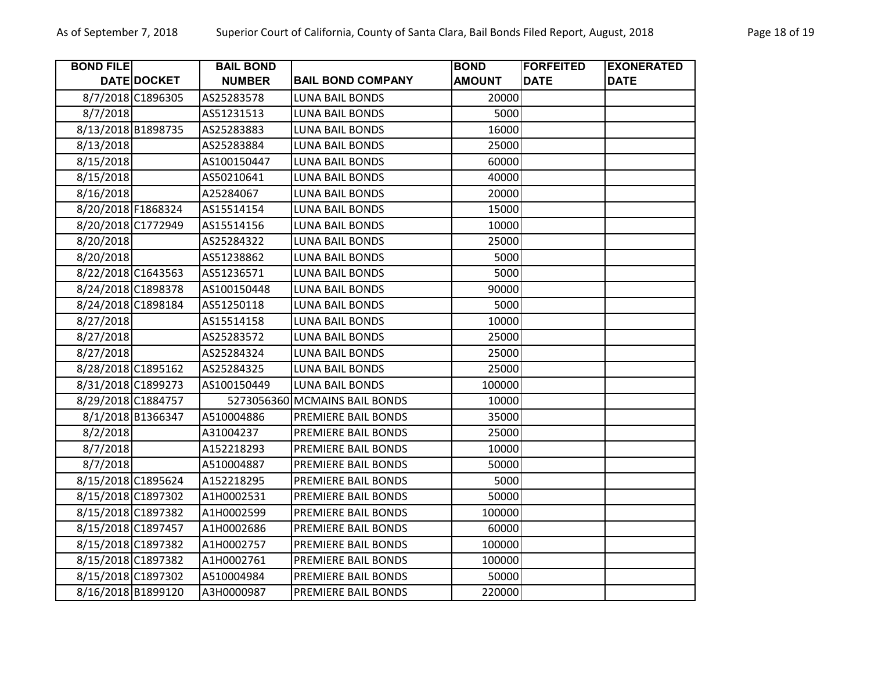| <b>BOND FILE</b>   |                    | <b>BAIL BOND</b> |                               | <b>BOND</b>   | <b>FORFEITED</b> | <b>EXONERATED</b> |
|--------------------|--------------------|------------------|-------------------------------|---------------|------------------|-------------------|
|                    | DATE DOCKET        | <b>NUMBER</b>    | <b>BAIL BOND COMPANY</b>      | <b>AMOUNT</b> | <b>DATE</b>      | <b>DATE</b>       |
|                    | 8/7/2018 C1896305  | AS25283578       | <b>LUNA BAIL BONDS</b>        | 20000         |                  |                   |
| 8/7/2018           |                    | AS51231513       | <b>LUNA BAIL BONDS</b>        | 5000          |                  |                   |
| 8/13/2018 B1898735 |                    | AS25283883       | <b>LUNA BAIL BONDS</b>        | 16000         |                  |                   |
| 8/13/2018          |                    | AS25283884       | <b>LUNA BAIL BONDS</b>        | 25000         |                  |                   |
| 8/15/2018          |                    | AS100150447      | <b>LUNA BAIL BONDS</b>        | 60000         |                  |                   |
| 8/15/2018          |                    | AS50210641       | <b>LUNA BAIL BONDS</b>        | 40000         |                  |                   |
| 8/16/2018          |                    | A25284067        | <b>LUNA BAIL BONDS</b>        | 20000         |                  |                   |
| 8/20/2018 F1868324 |                    | AS15514154       | <b>LUNA BAIL BONDS</b>        | 15000         |                  |                   |
| 8/20/2018 C1772949 |                    | AS15514156       | <b>LUNA BAIL BONDS</b>        | 10000         |                  |                   |
| 8/20/2018          |                    | AS25284322       | <b>LUNA BAIL BONDS</b>        | 25000         |                  |                   |
| 8/20/2018          |                    | AS51238862       | <b>LUNA BAIL BONDS</b>        | 5000          |                  |                   |
| 8/22/2018 C1643563 |                    | AS51236571       | <b>LUNA BAIL BONDS</b>        | 5000          |                  |                   |
| 8/24/2018 C1898378 |                    | AS100150448      | <b>LUNA BAIL BONDS</b>        | 90000         |                  |                   |
|                    | 8/24/2018 C1898184 | AS51250118       | <b>LUNA BAIL BONDS</b>        | 5000          |                  |                   |
| 8/27/2018          |                    | AS15514158       | <b>LUNA BAIL BONDS</b>        | 10000         |                  |                   |
| 8/27/2018          |                    | AS25283572       | <b>LUNA BAIL BONDS</b>        | 25000         |                  |                   |
| 8/27/2018          |                    | AS25284324       | <b>LUNA BAIL BONDS</b>        | 25000         |                  |                   |
|                    | 8/28/2018 C1895162 | AS25284325       | LUNA BAIL BONDS               | 25000         |                  |                   |
| 8/31/2018 C1899273 |                    | AS100150449      | <b>LUNA BAIL BONDS</b>        | 100000        |                  |                   |
|                    | 8/29/2018 C1884757 |                  | 5273056360 MCMAINS BAIL BONDS | 10000         |                  |                   |
|                    | 8/1/2018 B1366347  | A510004886       | PREMIERE BAIL BONDS           | 35000         |                  |                   |
| 8/2/2018           |                    | A31004237        | PREMIERE BAIL BONDS           | 25000         |                  |                   |
| 8/7/2018           |                    | A152218293       | PREMIERE BAIL BONDS           | 10000         |                  |                   |
| 8/7/2018           |                    | A510004887       | PREMIERE BAIL BONDS           | 50000         |                  |                   |
|                    | 8/15/2018 C1895624 | A152218295       | PREMIERE BAIL BONDS           | 5000          |                  |                   |
|                    | 8/15/2018 C1897302 | A1H0002531       | PREMIERE BAIL BONDS           | 50000         |                  |                   |
|                    | 8/15/2018 C1897382 | A1H0002599       | PREMIERE BAIL BONDS           | 100000        |                  |                   |
| 8/15/2018 C1897457 |                    | A1H0002686       | PREMIERE BAIL BONDS           | 60000         |                  |                   |
|                    | 8/15/2018 C1897382 | A1H0002757       | PREMIERE BAIL BONDS           | 100000        |                  |                   |
|                    | 8/15/2018 C1897382 | A1H0002761       | PREMIERE BAIL BONDS           | 100000        |                  |                   |
|                    | 8/15/2018 C1897302 | A510004984       | PREMIERE BAIL BONDS           | 50000         |                  |                   |
|                    | 8/16/2018 B1899120 | A3H0000987       | PREMIERE BAIL BONDS           | 220000        |                  |                   |